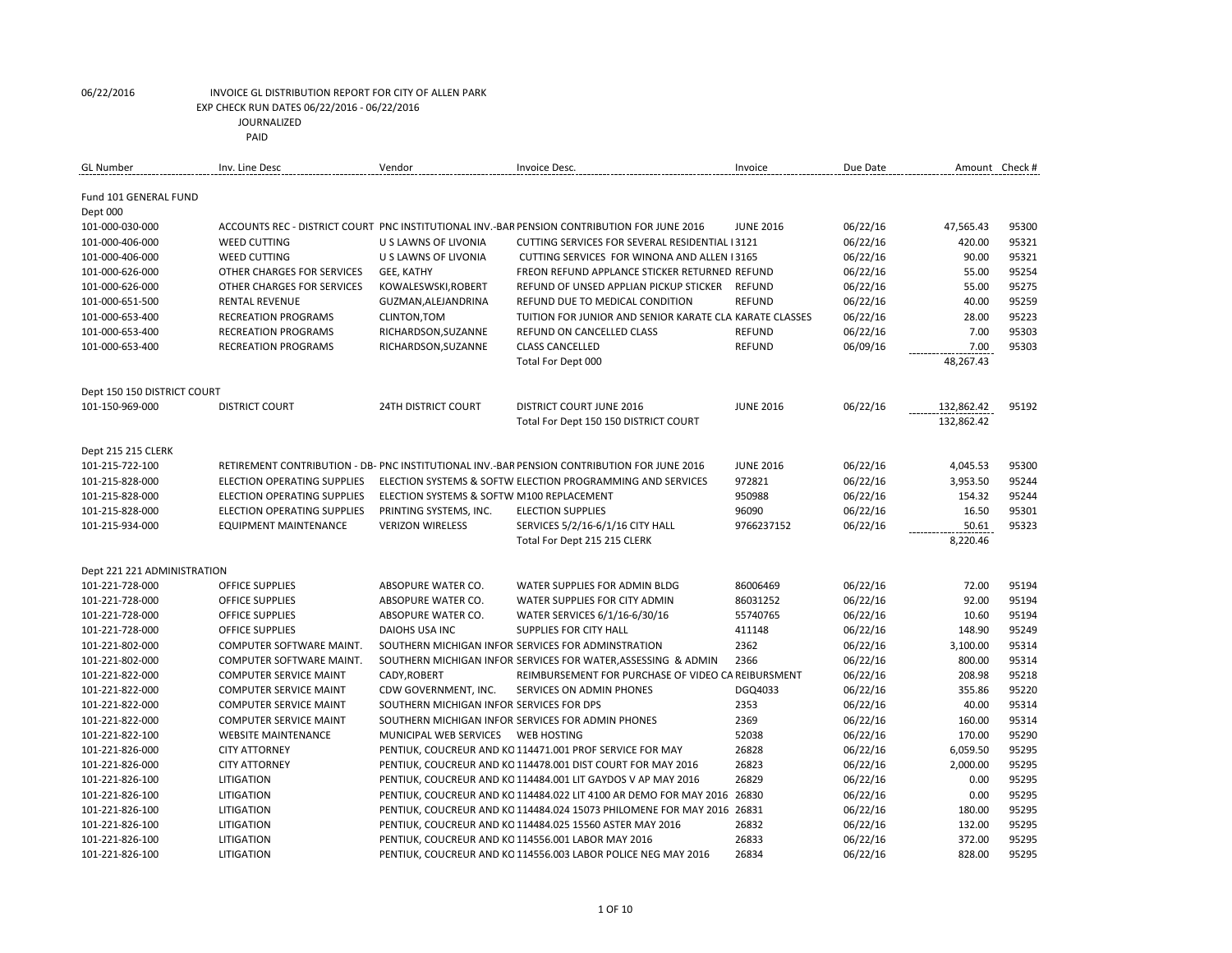| GL Number                         | Inv. Line Desc                     | Vendor                                    | Invoice Desc.                                                                               | Invoice          | Due Date | Amount Check #           |       |
|-----------------------------------|------------------------------------|-------------------------------------------|---------------------------------------------------------------------------------------------|------------------|----------|--------------------------|-------|
| Fund 101 GENERAL FUND<br>Dept 000 |                                    |                                           |                                                                                             |                  |          |                          |       |
| 101-000-030-000                   |                                    |                                           | ACCOUNTS REC - DISTRICT COURT PNC INSTITUTIONAL INV.-BAR PENSION CONTRIBUTION FOR JUNE 2016 | <b>JUNE 2016</b> | 06/22/16 | 47,565.43                | 95300 |
| 101-000-406-000                   | <b>WEED CUTTING</b>                | U S LAWNS OF LIVONIA                      | CUTTING SERVICES FOR SEVERAL RESIDENTIAL I 3121                                             |                  | 06/22/16 | 420.00                   | 95321 |
| 101-000-406-000                   | <b>WEED CUTTING</b>                | U S LAWNS OF LIVONIA                      | CUTTING SERVICES FOR WINONA AND ALLEN 13165                                                 |                  | 06/22/16 | 90.00                    | 95321 |
| 101-000-626-000                   | OTHER CHARGES FOR SERVICES         | GEE, KATHY                                | FREON REFUND APPLANCE STICKER RETURNED REFUND                                               |                  | 06/22/16 | 55.00                    | 95254 |
| 101-000-626-000                   | OTHER CHARGES FOR SERVICES         | KOWALESWSKI, ROBERT                       | REFUND OF UNSED APPLIAN PICKUP STICKER                                                      | <b>REFUND</b>    | 06/22/16 | 55.00                    | 95275 |
| 101-000-651-500                   | <b>RENTAL REVENUE</b>              | GUZMAN, ALEJANDRINA                       | REFUND DUE TO MEDICAL CONDITION                                                             | <b>REFUND</b>    | 06/22/16 | 40.00                    | 95259 |
| 101-000-653-400                   | <b>RECREATION PROGRAMS</b>         | CLINTON, TOM                              | TUITION FOR JUNIOR AND SENIOR KARATE CLA KARATE CLASSES                                     |                  | 06/22/16 | 28.00                    | 95223 |
| 101-000-653-400                   | <b>RECREATION PROGRAMS</b>         | RICHARDSON, SUZANNE                       | REFUND ON CANCELLED CLASS                                                                   | <b>REFUND</b>    | 06/22/16 | 7.00                     | 95303 |
| 101-000-653-400                   | <b>RECREATION PROGRAMS</b>         | RICHARDSON, SUZANNE                       | <b>CLASS CANCELLED</b>                                                                      | <b>REFUND</b>    | 06/09/16 | 7.00                     | 95303 |
|                                   |                                    |                                           | Total For Dept 000                                                                          |                  |          | 48,267.43                |       |
| Dept 150 150 DISTRICT COURT       |                                    |                                           |                                                                                             |                  |          |                          |       |
| 101-150-969-000                   | <b>DISTRICT COURT</b>              | <b>24TH DISTRICT COURT</b>                | <b>DISTRICT COURT JUNE 2016</b><br>Total For Dept 150 150 DISTRICT COURT                    | <b>JUNE 2016</b> | 06/22/16 | 132,862.42<br>132,862.42 | 95192 |
| Dept 215 215 CLERK                |                                    |                                           |                                                                                             |                  |          |                          |       |
| 101-215-722-100                   |                                    |                                           | RETIREMENT CONTRIBUTION - DB- PNC INSTITUTIONAL INV.-BAR PENSION CONTRIBUTION FOR JUNE 2016 | <b>JUNE 2016</b> | 06/22/16 | 4,045.53                 | 95300 |
| 101-215-828-000                   | <b>ELECTION OPERATING SUPPLIES</b> |                                           | ELECTION SYSTEMS & SOFTW ELECTION PROGRAMMING AND SERVICES                                  | 972821           | 06/22/16 | 3,953.50                 | 95244 |
| 101-215-828-000                   | ELECTION OPERATING SUPPLIES        | ELECTION SYSTEMS & SOFTW M100 REPLACEMENT |                                                                                             | 950988           | 06/22/16 | 154.32                   | 95244 |
| 101-215-828-000                   | <b>ELECTION OPERATING SUPPLIES</b> | PRINTING SYSTEMS, INC.                    | <b>ELECTION SUPPLIES</b>                                                                    | 96090            | 06/22/16 | 16.50                    | 95301 |
| 101-215-934-000                   | <b>EQUIPMENT MAINTENANCE</b>       | <b>VERIZON WIRELESS</b>                   | SERVICES 5/2/16-6/1/16 CITY HALL                                                            | 9766237152       | 06/22/16 | 50.61                    | 95323 |
|                                   |                                    |                                           | Total For Dept 215 215 CLERK                                                                |                  |          | 8,220.46                 |       |
| Dept 221 221 ADMINISTRATION       |                                    |                                           |                                                                                             |                  |          |                          |       |
| 101-221-728-000                   | OFFICE SUPPLIES                    | ABSOPURE WATER CO.                        | WATER SUPPLIES FOR ADMIN BLDG                                                               | 86006469         | 06/22/16 | 72.00                    | 95194 |
| 101-221-728-000                   | <b>OFFICE SUPPLIES</b>             | ABSOPURE WATER CO.                        | WATER SUPPLIES FOR CITY ADMIN                                                               | 86031252         | 06/22/16 | 92.00                    | 95194 |
| 101-221-728-000                   | <b>OFFICE SUPPLIES</b>             | ABSOPURE WATER CO.                        | WATER SERVICES 6/1/16-6/30/16                                                               | 55740765         | 06/22/16 | 10.60                    | 95194 |
| 101-221-728-000                   | OFFICE SUPPLIES                    | <b>DAIOHS USA INC</b>                     | SUPPLIES FOR CITY HALL                                                                      | 411148           | 06/22/16 | 148.90                   | 95249 |
| 101-221-802-000                   | COMPUTER SOFTWARE MAINT.           |                                           | SOUTHERN MICHIGAN INFOR SERVICES FOR ADMINSTRATION                                          | 2362             | 06/22/16 | 3,100.00                 | 95314 |
| 101-221-802-000                   | COMPUTER SOFTWARE MAINT.           |                                           | SOUTHERN MICHIGAN INFOR SERVICES FOR WATER, ASSESSING & ADMIN                               | 2366             | 06/22/16 | 800.00                   | 95314 |
| 101-221-822-000                   | <b>COMPUTER SERVICE MAINT</b>      | CADY, ROBERT                              | REIMBURSEMENT FOR PURCHASE OF VIDEO CA REIBURSMENT                                          |                  | 06/22/16 | 208.98                   | 95218 |
| 101-221-822-000                   | <b>COMPUTER SERVICE MAINT</b>      | CDW GOVERNMENT, INC.                      | SERVICES ON ADMIN PHONES                                                                    | DGQ4033          | 06/22/16 | 355.86                   | 95220 |
| 101-221-822-000                   | <b>COMPUTER SERVICE MAINT</b>      | SOUTHERN MICHIGAN INFOR SERVICES FOR DPS  |                                                                                             | 2353             | 06/22/16 | 40.00                    | 95314 |
| 101-221-822-000                   | <b>COMPUTER SERVICE MAINT</b>      |                                           | SOUTHERN MICHIGAN INFOR SERVICES FOR ADMIN PHONES                                           | 2369             | 06/22/16 | 160.00                   | 95314 |
| 101-221-822-100                   | <b>WEBSITE MAINTENANCE</b>         |                                           |                                                                                             | 52038            | 06/22/16 | 170.00                   | 95290 |
| 101-221-826-000                   | <b>CITY ATTORNEY</b>               |                                           | PENTIUK, COUCREUR AND KO 114471.001 PROF SERVICE FOR MAY                                    | 26828            | 06/22/16 | 6,059.50                 | 95295 |
| 101-221-826-000                   | <b>CITY ATTORNEY</b>               |                                           | PENTIUK, COUCREUR AND KO 114478.001 DIST COURT FOR MAY 2016                                 | 26823            | 06/22/16 | 2,000.00                 | 95295 |
| 101-221-826-100                   | <b>LITIGATION</b>                  |                                           | PENTIUK, COUCREUR AND KO 114484.001 LIT GAYDOS V AP MAY 2016                                | 26829            | 06/22/16 | 0.00                     | 95295 |
| 101-221-826-100                   | LITIGATION                         |                                           | PENTIUK, COUCREUR AND KO 114484.022 LIT 4100 AR DEMO FOR MAY 2016 26830                     |                  | 06/22/16 | 0.00                     | 95295 |
| 101-221-826-100                   | LITIGATION                         |                                           | PENTIUK, COUCREUR AND KO 114484.024 15073 PHILOMENE FOR MAY 2016 26831                      |                  | 06/22/16 | 180.00                   | 95295 |
| 101-221-826-100                   | LITIGATION                         |                                           | PENTIUK, COUCREUR AND KO 114484.025 15560 ASTER MAY 2016                                    | 26832            | 06/22/16 | 132.00                   | 95295 |
| 101-221-826-100                   | LITIGATION                         |                                           | PENTIUK, COUCREUR AND KO 114556.001 LABOR MAY 2016                                          | 26833            | 06/22/16 | 372.00                   | 95295 |
| 101-221-826-100                   | LITIGATION                         |                                           | PENTIUK. COUCREUR AND KO 114556.003 LABOR POLICE NEG MAY 2016                               | 26834            | 06/22/16 | 828.00                   | 95295 |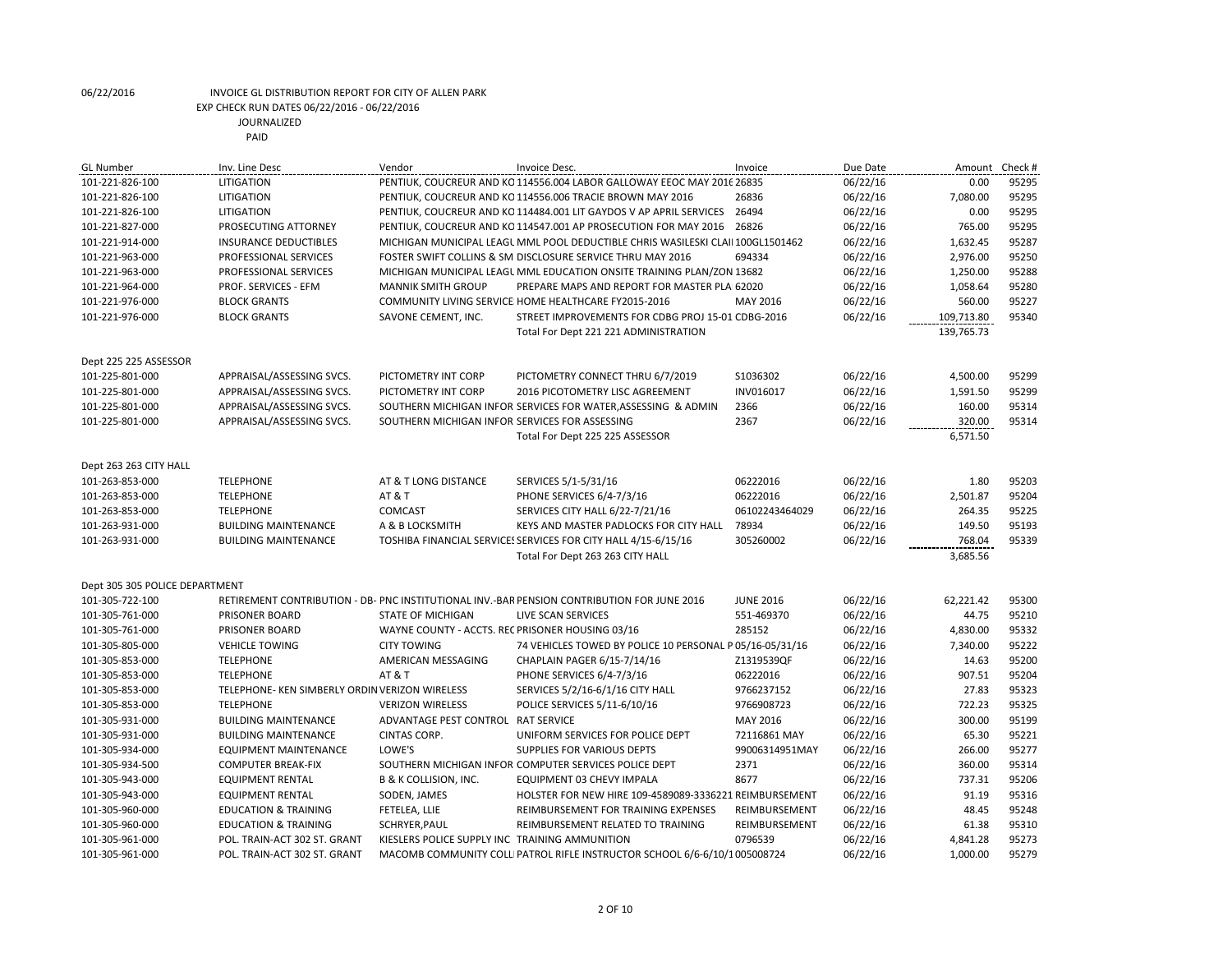| <b>GL Number</b>               | Inv. Line Desc                                 | Vendor                                           | Invoice Desc.                                                                               | Invoice          | Due Date | Amount     | Check # |
|--------------------------------|------------------------------------------------|--------------------------------------------------|---------------------------------------------------------------------------------------------|------------------|----------|------------|---------|
| 101-221-826-100                | LITIGATION                                     |                                                  | PENTIUK, COUCREUR AND KO 114556.004 LABOR GALLOWAY EEOC MAY 2016 26835                      |                  | 06/22/16 | 0.00       | 95295   |
| 101-221-826-100                | LITIGATION                                     |                                                  | PENTIUK, COUCREUR AND KO 114556.006 TRACIE BROWN MAY 2016                                   | 26836            | 06/22/16 | 7,080.00   | 95295   |
| 101-221-826-100                | LITIGATION                                     |                                                  | PENTIUK, COUCREUR AND KO 114484.001 LIT GAYDOS V AP APRIL SERVICES                          | 26494            | 06/22/16 | 0.00       | 95295   |
| 101-221-827-000                | PROSECUTING ATTORNEY                           |                                                  | PENTIUK, COUCREUR AND KO 114547.001 AP PROSECUTION FOR MAY 2016                             | 26826            | 06/22/16 | 765.00     | 95295   |
| 101-221-914-000                | <b>INSURANCE DEDUCTIBLES</b>                   |                                                  | MICHIGAN MUNICIPAL LEAGL MML POOL DEDUCTIBLE CHRIS WASILESKI CLAII 100GL1501462             |                  | 06/22/16 | 1,632.45   | 95287   |
| 101-221-963-000                | PROFESSIONAL SERVICES                          |                                                  | FOSTER SWIFT COLLINS & SM DISCLOSURE SERVICE THRU MAY 2016                                  | 694334           | 06/22/16 | 2,976.00   | 95250   |
| 101-221-963-000                | PROFESSIONAL SERVICES                          |                                                  | MICHIGAN MUNICIPAL LEAGL MML EDUCATION ONSITE TRAINING PLAN/ZON 13682                       |                  | 06/22/16 | 1,250.00   | 95288   |
| 101-221-964-000                | PROF. SERVICES - EFM                           | <b>MANNIK SMITH GROUP</b>                        | PREPARE MAPS AND REPORT FOR MASTER PLAI 62020                                               |                  | 06/22/16 | 1,058.64   | 95280   |
| 101-221-976-000                | <b>BLOCK GRANTS</b>                            |                                                  | COMMUNITY LIVING SERVICE HOME HEALTHCARE FY2015-2016                                        | MAY 2016         | 06/22/16 | 560.00     | 95227   |
| 101-221-976-000                | <b>BLOCK GRANTS</b>                            | SAVONE CEMENT, INC.                              | STREET IMPROVEMENTS FOR CDBG PROJ 15-01 CDBG-2016                                           |                  | 06/22/16 | 109,713.80 | 95340   |
|                                |                                                |                                                  | Total For Dept 221 221 ADMINISTRATION                                                       |                  |          | 139,765.73 |         |
|                                |                                                |                                                  |                                                                                             |                  |          |            |         |
| Dept 225 225 ASSESSOR          |                                                |                                                  |                                                                                             |                  |          |            |         |
| 101-225-801-000                | APPRAISAL/ASSESSING SVCS.                      | PICTOMETRY INT CORP                              | PICTOMETRY CONNECT THRU 6/7/2019                                                            | S1036302         | 06/22/16 | 4,500.00   | 95299   |
| 101-225-801-000                | APPRAISAL/ASSESSING SVCS.                      | PICTOMETRY INT CORP                              | 2016 PICOTOMETRY LISC AGREEMENT                                                             | INV016017        | 06/22/16 | 1,591.50   | 95299   |
| 101-225-801-000                | APPRAISAL/ASSESSING SVCS.                      |                                                  | SOUTHERN MICHIGAN INFOR SERVICES FOR WATER, ASSESSING & ADMIN                               | 2366             | 06/22/16 | 160.00     | 95314   |
| 101-225-801-000                | APPRAISAL/ASSESSING SVCS.                      | SOUTHERN MICHIGAN INFOR SERVICES FOR ASSESSING   |                                                                                             | 2367             | 06/22/16 | 320.00     | 95314   |
|                                |                                                |                                                  | Total For Dept 225 225 ASSESSOR                                                             |                  |          | 6,571.50   |         |
|                                |                                                |                                                  |                                                                                             |                  |          |            |         |
| Dept 263 263 CITY HALL         |                                                |                                                  |                                                                                             |                  |          |            |         |
| 101-263-853-000                | <b>TELEPHONE</b>                               | AT & T LONG DISTANCE                             | SERVICES 5/1-5/31/16                                                                        | 06222016         | 06/22/16 | 1.80       | 95203   |
| 101-263-853-000                | <b>TELEPHONE</b>                               | AT&T                                             | PHONE SERVICES 6/4-7/3/16                                                                   | 06222016         | 06/22/16 | 2,501.87   | 95204   |
| 101-263-853-000                | <b>TELEPHONE</b>                               | COMCAST                                          | SERVICES CITY HALL 6/22-7/21/16                                                             | 06102243464029   | 06/22/16 | 264.35     | 95225   |
| 101-263-931-000                | <b>BUILDING MAINTENANCE</b>                    | A & B LOCKSMITH                                  | KEYS AND MASTER PADLOCKS FOR CITY HALL                                                      | 78934            | 06/22/16 | 149.50     | 95193   |
| 101-263-931-000                | <b>BUILDING MAINTENANCE</b>                    |                                                  | TOSHIBA FINANCIAL SERVICES SERVICES FOR CITY HALL 4/15-6/15/16                              | 305260002        | 06/22/16 | 768.04     | 95339   |
|                                |                                                |                                                  | Total For Dept 263 263 CITY HALL                                                            |                  |          | 3,685.56   |         |
|                                |                                                |                                                  |                                                                                             |                  |          |            |         |
| Dept 305 305 POLICE DEPARTMENT |                                                |                                                  |                                                                                             |                  |          |            |         |
| 101-305-722-100                |                                                |                                                  | RETIREMENT CONTRIBUTION - DB- PNC INSTITUTIONAL INV.-BAR PENSION CONTRIBUTION FOR JUNE 2016 | <b>JUNE 2016</b> | 06/22/16 | 62,221.42  | 95300   |
| 101-305-761-000                | PRISONER BOARD                                 | <b>STATE OF MICHIGAN</b>                         | LIVE SCAN SERVICES                                                                          | 551-469370       | 06/22/16 | 44.75      | 95210   |
| 101-305-761-000                | PRISONER BOARD                                 | WAYNE COUNTY - ACCTS. REC PRISONER HOUSING 03/16 |                                                                                             | 285152           | 06/22/16 | 4,830.00   | 95332   |
| 101-305-805-000                | <b>VEHICLE TOWING</b>                          | <b>CITY TOWING</b>                               | 74 VEHICLES TOWED BY POLICE 10 PERSONAL P 05/16-05/31/16                                    |                  | 06/22/16 | 7,340.00   | 95222   |
| 101-305-853-000                | <b>TELEPHONE</b>                               | AMERICAN MESSAGING                               | CHAPLAIN PAGER 6/15-7/14/16                                                                 | Z1319539QF       | 06/22/16 | 14.63      | 95200   |
| 101-305-853-000                | <b>TELEPHONE</b>                               | AT & T                                           | PHONE SERVICES 6/4-7/3/16                                                                   | 06222016         | 06/22/16 | 907.51     | 95204   |
| 101-305-853-000                | TELEPHONE- KEN SIMBERLY ORDIN VERIZON WIRELESS |                                                  | SERVICES 5/2/16-6/1/16 CITY HALL                                                            | 9766237152       | 06/22/16 | 27.83      | 95323   |
| 101-305-853-000                | <b>TELEPHONE</b>                               | <b>VERIZON WIRELESS</b>                          | POLICE SERVICES 5/11-6/10/16                                                                | 9766908723       | 06/22/16 | 722.23     | 95325   |
| 101-305-931-000                | <b>BUILDING MAINTENANCE</b>                    | ADVANTAGE PEST CONTROL RAT SERVICE               |                                                                                             | MAY 2016         | 06/22/16 | 300.00     | 95199   |
| 101-305-931-000                | <b>BUILDING MAINTENANCE</b>                    | CINTAS CORP.                                     | UNIFORM SERVICES FOR POLICE DEPT                                                            | 72116861 MAY     | 06/22/16 | 65.30      | 95221   |
| 101-305-934-000                | <b>EQUIPMENT MAINTENANCE</b>                   | LOWE'S                                           | <b>SUPPLIES FOR VARIOUS DEPTS</b>                                                           | 99006314951MAY   | 06/22/16 | 266.00     | 95277   |
| 101-305-934-500                | <b>COMPUTER BREAK-FIX</b>                      |                                                  | SOUTHERN MICHIGAN INFOR COMPUTER SERVICES POLICE DEPT                                       | 2371             | 06/22/16 | 360.00     | 95314   |
| 101-305-943-000                | <b>EQUIPMENT RENTAL</b>                        | <b>B &amp; K COLLISION, INC.</b>                 | <b>EQUIPMENT 03 CHEVY IMPALA</b>                                                            | 8677             | 06/22/16 | 737.31     | 95206   |
| 101-305-943-000                | <b>EQUIPMENT RENTAL</b>                        | SODEN, JAMES                                     | HOLSTER FOR NEW HIRE 109-4589089-3336221 REIMBURSEMENT                                      |                  | 06/22/16 | 91.19      | 95316   |
| 101-305-960-000                | <b>EDUCATION &amp; TRAINING</b>                | FETELEA, LLIE                                    | REIMBURSEMENT FOR TRAINING EXPENSES                                                         | REIMBURSEMENT    | 06/22/16 | 48.45      | 95248   |
| 101-305-960-000                | <b>EDUCATION &amp; TRAINING</b>                | SCHRYER, PAUL                                    | REIMBURSEMENT RELATED TO TRAINING                                                           | REIMBURSEMENT    | 06/22/16 | 61.38      | 95310   |
| 101-305-961-000                | POL. TRAIN-ACT 302 ST. GRANT                   | KIESLERS POLICE SUPPLY INC TRAINING AMMUNITION   |                                                                                             | 0796539          | 06/22/16 | 4,841.28   | 95273   |
| 101-305-961-000                | POL. TRAIN-ACT 302 ST. GRANT                   |                                                  | MACOMB COMMUNITY COLL PATROL RIFLE INSTRUCTOR SCHOOL 6/6-6/10/1005008724                    |                  | 06/22/16 | 1.000.00   | 95279   |
|                                |                                                |                                                  |                                                                                             |                  |          |            |         |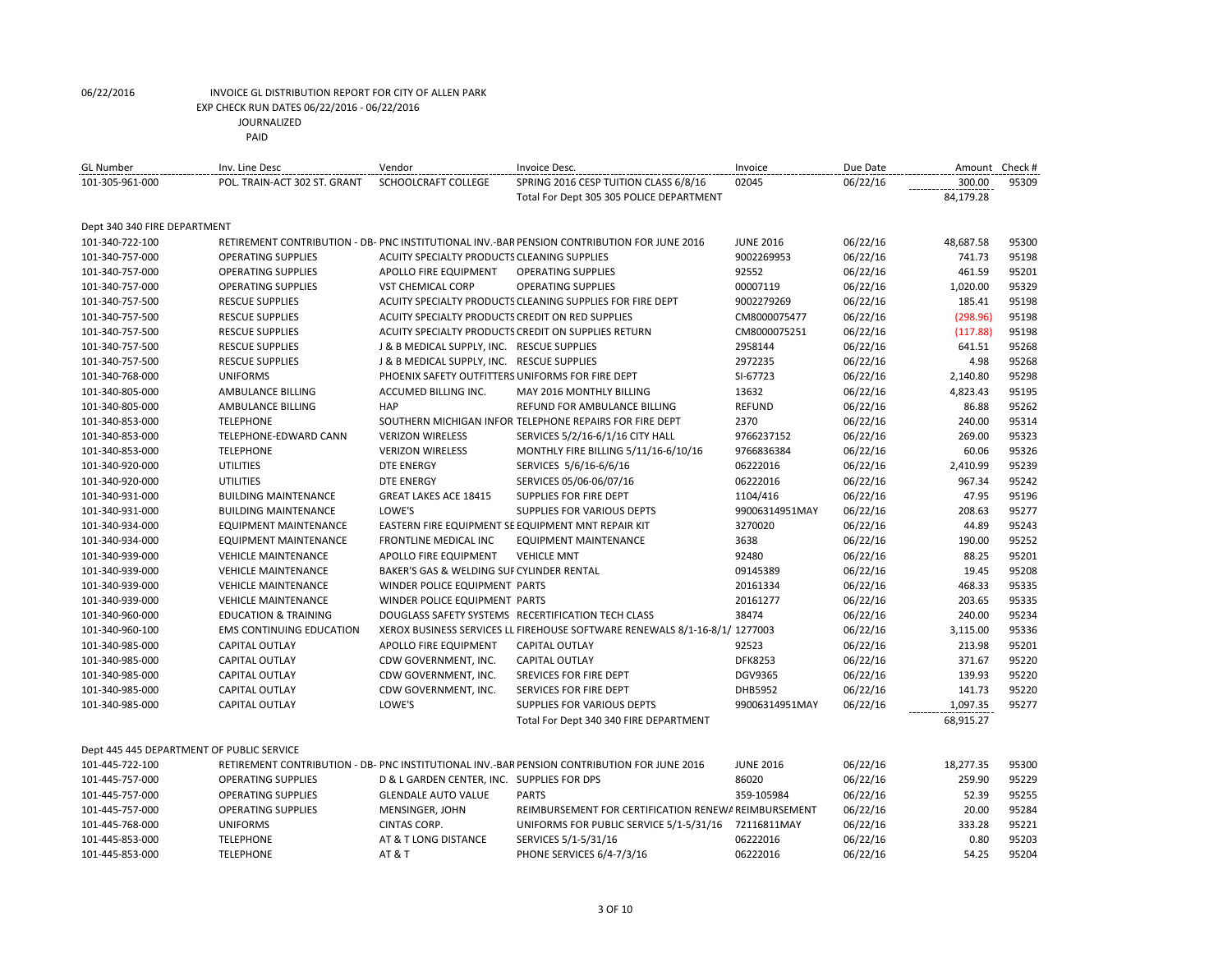| <b>GL Number</b>                          | Inv. Line Desc                  | Vendor                                           | Invoice Desc.                                                                               | Invoice          | Due Date | Amount    | Check # |
|-------------------------------------------|---------------------------------|--------------------------------------------------|---------------------------------------------------------------------------------------------|------------------|----------|-----------|---------|
| 101-305-961-000                           | POL. TRAIN-ACT 302 ST. GRANT    | SCHOOLCRAFT COLLEGE                              | SPRING 2016 CESP TUITION CLASS 6/8/16                                                       | 02045            | 06/22/16 | 300.00    | 95309   |
|                                           |                                 |                                                  | Total For Dept 305 305 POLICE DEPARTMENT                                                    |                  |          | 84,179.28 |         |
|                                           |                                 |                                                  |                                                                                             |                  |          |           |         |
| Dept 340 340 FIRE DEPARTMENT              |                                 |                                                  |                                                                                             |                  |          |           |         |
| 101-340-722-100                           |                                 |                                                  | RETIREMENT CONTRIBUTION - DB- PNC INSTITUTIONAL INV.-BAR PENSION CONTRIBUTION FOR JUNE 2016 | <b>JUNE 2016</b> | 06/22/16 | 48,687.58 | 95300   |
| 101-340-757-000                           | <b>OPERATING SUPPLIES</b>       | ACUITY SPECIALTY PRODUCTS CLEANING SUPPLIES      |                                                                                             | 9002269953       | 06/22/16 | 741.73    | 95198   |
| 101-340-757-000                           | <b>OPERATING SUPPLIES</b>       | APOLLO FIRE EQUIPMENT                            | <b>OPERATING SUPPLIES</b>                                                                   | 92552            | 06/22/16 | 461.59    | 95201   |
| 101-340-757-000                           | <b>OPERATING SUPPLIES</b>       | VST CHEMICAL CORP                                | <b>OPERATING SUPPLIES</b>                                                                   | 00007119         | 06/22/16 | 1,020.00  | 95329   |
| 101-340-757-500                           | <b>RESCUE SUPPLIES</b>          |                                                  | ACUITY SPECIALTY PRODUCTS CLEANING SUPPLIES FOR FIRE DEPT                                   | 9002279269       | 06/22/16 | 185.41    | 95198   |
| 101-340-757-500                           | <b>RESCUE SUPPLIES</b>          | ACUITY SPECIALTY PRODUCTS CREDIT ON RED SUPPLIES |                                                                                             | CM8000075477     | 06/22/16 | (298.96)  | 95198   |
| 101-340-757-500                           | <b>RESCUE SUPPLIES</b>          |                                                  | ACUITY SPECIALTY PRODUCTS CREDIT ON SUPPLIES RETURN                                         | CM8000075251     | 06/22/16 | (117.88)  | 95198   |
| 101-340-757-500                           | <b>RESCUE SUPPLIES</b>          | J & B MEDICAL SUPPLY, INC. RESCUE SUPPLIES       |                                                                                             | 2958144          | 06/22/16 | 641.51    | 95268   |
| 101-340-757-500                           | <b>RESCUE SUPPLIES</b>          | J & B MEDICAL SUPPLY, INC. RESCUE SUPPLIES       |                                                                                             | 2972235          | 06/22/16 | 4.98      | 95268   |
| 101-340-768-000                           | <b>UNIFORMS</b>                 | PHOENIX SAFETY OUTFITTERS UNIFORMS FOR FIRE DEPT |                                                                                             | SI-67723         | 06/22/16 | 2,140.80  | 95298   |
| 101-340-805-000                           | AMBULANCE BILLING               | ACCUMED BILLING INC.                             | <b>MAY 2016 MONTHLY BILLING</b>                                                             | 13632            | 06/22/16 | 4,823.43  | 95195   |
| 101-340-805-000                           | AMBULANCE BILLING               | <b>HAP</b>                                       | REFUND FOR AMBULANCE BILLING                                                                | <b>REFUND</b>    | 06/22/16 | 86.88     | 95262   |
| 101-340-853-000                           | <b>TELEPHONE</b>                |                                                  | SOUTHERN MICHIGAN INFOR TELEPHONE REPAIRS FOR FIRE DEPT                                     | 2370             | 06/22/16 | 240.00    | 95314   |
| 101-340-853-000                           | TELEPHONE-EDWARD CANN           | <b>VERIZON WIRELESS</b>                          | SERVICES 5/2/16-6/1/16 CITY HALL                                                            | 9766237152       | 06/22/16 | 269.00    | 95323   |
| 101-340-853-000                           | <b>TELEPHONE</b>                | <b>VERIZON WIRELESS</b>                          | MONTHLY FIRE BILLING 5/11/16-6/10/16                                                        | 9766836384       | 06/22/16 | 60.06     | 95326   |
| 101-340-920-000                           | <b>UTILITIES</b>                | <b>DTE ENERGY</b>                                | SERVICES 5/6/16-6/6/16                                                                      | 06222016         | 06/22/16 | 2,410.99  | 95239   |
| 101-340-920-000                           | <b>UTILITIES</b>                | <b>DTE ENERGY</b>                                | SERVICES 05/06-06/07/16                                                                     | 06222016         | 06/22/16 | 967.34    | 95242   |
| 101-340-931-000                           | <b>BUILDING MAINTENANCE</b>     | <b>GREAT LAKES ACE 18415</b>                     | SUPPLIES FOR FIRE DEPT                                                                      | 1104/416         | 06/22/16 | 47.95     | 95196   |
| 101-340-931-000                           | <b>BUILDING MAINTENANCE</b>     | LOWE'S                                           | SUPPLIES FOR VARIOUS DEPTS                                                                  | 99006314951MAY   | 06/22/16 | 208.63    | 95277   |
| 101-340-934-000                           | <b>EQUIPMENT MAINTENANCE</b>    |                                                  | EASTERN FIRE EQUIPMENT SE EQUIPMENT MNT REPAIR KIT                                          | 3270020          | 06/22/16 | 44.89     | 95243   |
| 101-340-934-000                           | <b>EQUIPMENT MAINTENANCE</b>    | FRONTLINE MEDICAL INC                            | <b>EQUIPMENT MAINTENANCE</b>                                                                | 3638             | 06/22/16 | 190.00    | 95252   |
| 101-340-939-000                           | <b>VEHICLE MAINTENANCE</b>      | APOLLO FIRE EQUIPMENT                            | <b>VEHICLE MNT</b>                                                                          | 92480            | 06/22/16 | 88.25     | 95201   |
| 101-340-939-000                           | <b>VEHICLE MAINTENANCE</b>      | BAKER'S GAS & WELDING SUF CYLINDER RENTAL        |                                                                                             | 09145389         | 06/22/16 | 19.45     | 95208   |
| 101-340-939-000                           | <b>VEHICLE MAINTENANCE</b>      | WINDER POLICE EQUIPMENT PARTS                    |                                                                                             | 20161334         | 06/22/16 | 468.33    | 95335   |
| 101-340-939-000                           | <b>VEHICLE MAINTENANCE</b>      | WINDER POLICE EQUIPMENT PARTS                    |                                                                                             | 20161277         | 06/22/16 | 203.65    | 95335   |
| 101-340-960-000                           | <b>EDUCATION &amp; TRAINING</b> |                                                  | DOUGLASS SAFETY SYSTEMS RECERTIFICATION TECH CLASS                                          | 38474            | 06/22/16 | 240.00    | 95234   |
| 101-340-960-100                           | <b>EMS CONTINUING EDUCATION</b> |                                                  | XEROX BUSINESS SERVICES LL FIREHOUSE SOFTWARE RENEWALS 8/1-16-8/1/ 1277003                  |                  | 06/22/16 | 3,115.00  | 95336   |
| 101-340-985-000                           | <b>CAPITAL OUTLAY</b>           | APOLLO FIRE EQUIPMENT                            | <b>CAPITAL OUTLAY</b>                                                                       | 92523            | 06/22/16 | 213.98    | 95201   |
| 101-340-985-000                           | <b>CAPITAL OUTLAY</b>           | CDW GOVERNMENT, INC.                             | <b>CAPITAL OUTLAY</b>                                                                       | <b>DFK8253</b>   | 06/22/16 | 371.67    | 95220   |
| 101-340-985-000                           | CAPITAL OUTLAY                  | CDW GOVERNMENT, INC.                             | SREVICES FOR FIRE DEPT                                                                      | DGV9365          | 06/22/16 | 139.93    | 95220   |
| 101-340-985-000                           | CAPITAL OUTLAY                  | CDW GOVERNMENT, INC.                             | SERVICES FOR FIRE DEPT                                                                      | DHB5952          | 06/22/16 | 141.73    | 95220   |
| 101-340-985-000                           | <b>CAPITAL OUTLAY</b>           | LOWE'S                                           | SUPPLIES FOR VARIOUS DEPTS                                                                  | 99006314951MAY   | 06/22/16 | 1,097.35  | 95277   |
|                                           |                                 |                                                  | Total For Dept 340 340 FIRE DEPARTMENT                                                      |                  |          | 68,915.27 |         |
|                                           |                                 |                                                  |                                                                                             |                  |          |           |         |
| Dept 445 445 DEPARTMENT OF PUBLIC SERVICE |                                 |                                                  |                                                                                             |                  |          |           |         |
| 101-445-722-100                           |                                 |                                                  | RETIREMENT CONTRIBUTION - DB- PNC INSTITUTIONAL INV.-BAR PENSION CONTRIBUTION FOR JUNE 2016 | <b>JUNE 2016</b> | 06/22/16 | 18,277.35 | 95300   |
| 101-445-757-000                           | <b>OPERATING SUPPLIES</b>       | D & L GARDEN CENTER, INC. SUPPLIES FOR DPS       |                                                                                             | 86020            | 06/22/16 | 259.90    | 95229   |
| 101-445-757-000                           | <b>OPERATING SUPPLIES</b>       | <b>GLENDALE AUTO VALUE</b>                       | <b>PARTS</b>                                                                                | 359-105984       | 06/22/16 | 52.39     | 95255   |
| 101-445-757-000                           | <b>OPERATING SUPPLIES</b>       | MENSINGER, JOHN                                  | REIMBURSEMENT FOR CERTIFICATION RENEWA REIMBURSEMENT                                        |                  | 06/22/16 | 20.00     | 95284   |
| 101-445-768-000                           | <b>UNIFORMS</b>                 | CINTAS CORP.                                     | UNIFORMS FOR PUBLIC SERVICE 5/1-5/31/16                                                     | 72116811MAY      | 06/22/16 | 333.28    | 95221   |

101-445-853-000 TELEPHONE AT & T LONG DISTANCE SERVICES 5/1-5/31/16 06222016 06/22/16 0.80 95203 101-445-853-000 TELEPHONE AT & T PHONE SERVICES 6/4-7/3/16 06222016 06/22/16 54.25 95204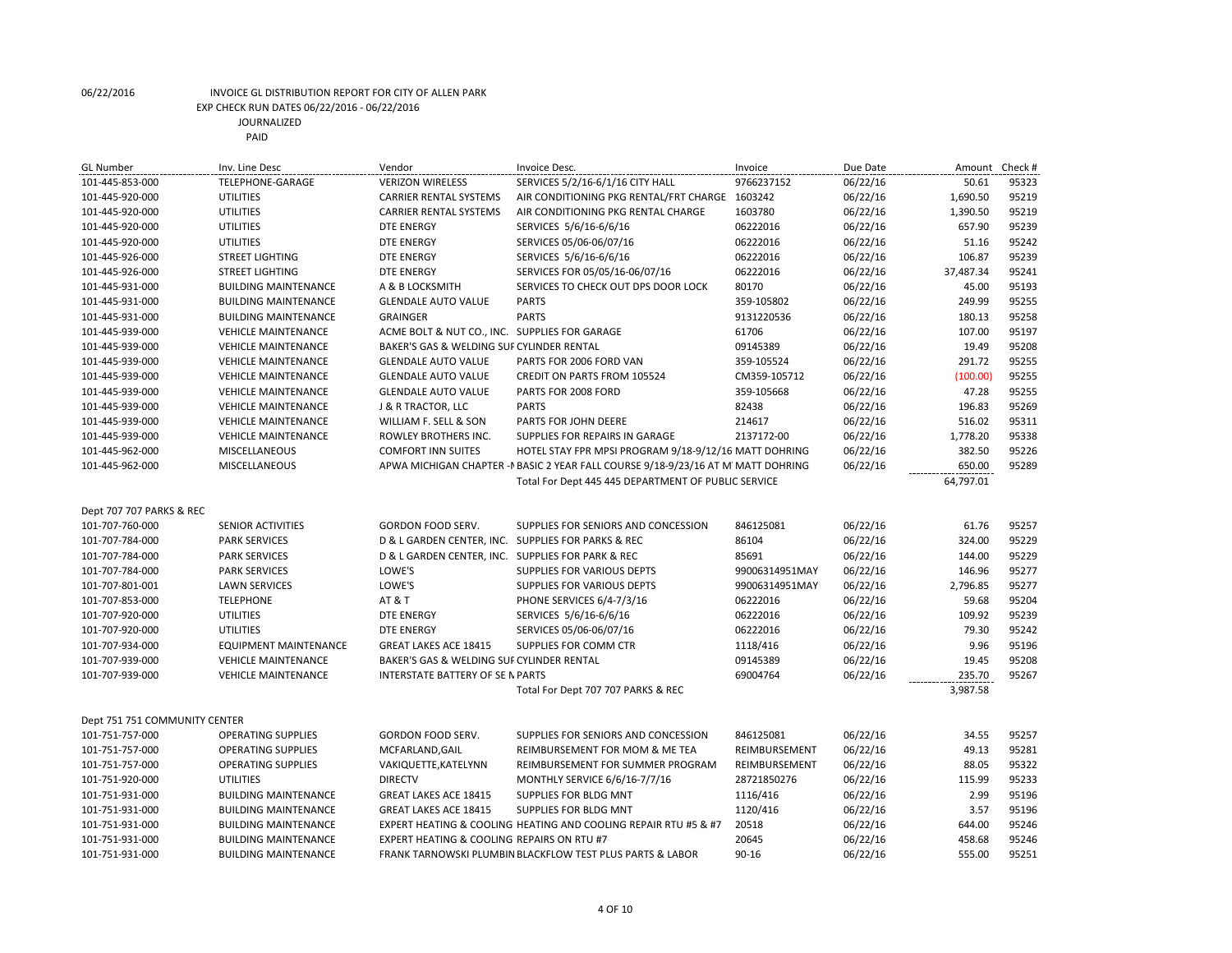| <b>GL Number</b>              | Inv. Line Desc               | Vendor                                                | Invoice Desc.                                                                    | Invoice        | Due Date | Amount    | Check # |
|-------------------------------|------------------------------|-------------------------------------------------------|----------------------------------------------------------------------------------|----------------|----------|-----------|---------|
| 101-445-853-000               | TELEPHONE-GARAGE             | <b>VERIZON WIRELESS</b>                               | SERVICES 5/2/16-6/1/16 CITY HALL                                                 | 9766237152     | 06/22/16 | 50.61     | 95323   |
| 101-445-920-000               | UTILITIES                    | <b>CARRIER RENTAL SYSTEMS</b>                         | AIR CONDITIONING PKG RENTAL/FRT CHARGE 1603242                                   |                | 06/22/16 | 1,690.50  | 95219   |
| 101-445-920-000               | <b>UTILITIES</b>             | <b>CARRIER RENTAL SYSTEMS</b>                         | AIR CONDITIONING PKG RENTAL CHARGE                                               | 1603780        | 06/22/16 | 1,390.50  | 95219   |
| 101-445-920-000               | <b>UTILITIES</b>             | <b>DTE ENERGY</b>                                     | SERVICES 5/6/16-6/6/16                                                           | 06222016       | 06/22/16 | 657.90    | 95239   |
| 101-445-920-000               | UTILITIES                    | <b>DTE ENERGY</b>                                     | SERVICES 05/06-06/07/16                                                          | 06222016       | 06/22/16 | 51.16     | 95242   |
| 101-445-926-000               | <b>STREET LIGHTING</b>       | <b>DTE ENERGY</b>                                     | SERVICES 5/6/16-6/6/16                                                           | 06222016       | 06/22/16 | 106.87    | 95239   |
| 101-445-926-000               | <b>STREET LIGHTING</b>       | <b>DTE ENERGY</b>                                     | SERVICES FOR 05/05/16-06/07/16                                                   | 06222016       | 06/22/16 | 37,487.34 | 95241   |
| 101-445-931-000               | <b>BUILDING MAINTENANCE</b>  | A & B LOCKSMITH                                       | SERVICES TO CHECK OUT DPS DOOR LOCK                                              | 80170          | 06/22/16 | 45.00     | 95193   |
| 101-445-931-000               | <b>BUILDING MAINTENANCE</b>  | <b>GLENDALE AUTO VALUE</b>                            | <b>PARTS</b>                                                                     | 359-105802     | 06/22/16 | 249.99    | 95255   |
| 101-445-931-000               | <b>BUILDING MAINTENANCE</b>  | <b>GRAINGER</b>                                       | <b>PARTS</b>                                                                     | 9131220536     | 06/22/16 | 180.13    | 95258   |
| 101-445-939-000               | <b>VEHICLE MAINTENANCE</b>   | ACME BOLT & NUT CO., INC. SUPPLIES FOR GARAGE         |                                                                                  | 61706          | 06/22/16 | 107.00    | 95197   |
| 101-445-939-000               | <b>VEHICLE MAINTENANCE</b>   | BAKER'S GAS & WELDING SUF CYLINDER RENTAL             |                                                                                  | 09145389       | 06/22/16 | 19.49     | 95208   |
| 101-445-939-000               | <b>VEHICLE MAINTENANCE</b>   | <b>GLENDALE AUTO VALUE</b>                            | PARTS FOR 2006 FORD VAN                                                          | 359-105524     | 06/22/16 | 291.72    | 95255   |
| 101-445-939-000               | <b>VEHICLE MAINTENANCE</b>   | <b>GLENDALE AUTO VALUE</b>                            | CREDIT ON PARTS FROM 105524                                                      | CM359-105712   | 06/22/16 | (100.00)  | 95255   |
| 101-445-939-000               | <b>VEHICLE MAINTENANCE</b>   | <b>GLENDALE AUTO VALUE</b>                            | PARTS FOR 2008 FORD                                                              | 359-105668     | 06/22/16 | 47.28     | 95255   |
| 101-445-939-000               | <b>VEHICLE MAINTENANCE</b>   | J & R TRACTOR, LLC                                    | <b>PARTS</b>                                                                     | 82438          | 06/22/16 | 196.83    | 95269   |
| 101-445-939-000               | <b>VEHICLE MAINTENANCE</b>   | WILLIAM F. SELL & SON                                 | PARTS FOR JOHN DEERE                                                             | 214617         | 06/22/16 | 516.02    | 95311   |
| 101-445-939-000               | <b>VEHICLE MAINTENANCE</b>   | ROWLEY BROTHERS INC.                                  | SUPPLIES FOR REPAIRS IN GARAGE                                                   | 2137172-00     | 06/22/16 | 1,778.20  | 95338   |
| 101-445-962-000               | MISCELLANEOUS                | <b>COMFORT INN SUITES</b>                             | HOTEL STAY FPR MPSI PROGRAM 9/18-9/12/16 MATT DOHRING                            |                | 06/22/16 | 382.50    | 95226   |
| 101-445-962-000               | <b>MISCELLANEOUS</b>         |                                                       | APWA MICHIGAN CHAPTER - NBASIC 2 YEAR FALL COURSE 9/18-9/23/16 AT M MATT DOHRING |                | 06/22/16 | 650.00    | 95289   |
|                               |                              |                                                       | Total For Dept 445 445 DEPARTMENT OF PUBLIC SERVICE                              |                |          | 64,797.01 |         |
| Dept 707 707 PARKS & REC      |                              |                                                       |                                                                                  |                |          |           |         |
| 101-707-760-000               | <b>SENIOR ACTIVITIES</b>     | GORDON FOOD SERV.                                     | SUPPLIES FOR SENIORS AND CONCESSION                                              | 846125081      | 06/22/16 | 61.76     | 95257   |
| 101-707-784-000               | <b>PARK SERVICES</b>         |                                                       | D & L GARDEN CENTER, INC. SUPPLIES FOR PARKS & REC                               | 86104          | 06/22/16 | 324.00    | 95229   |
| 101-707-784-000               | <b>PARK SERVICES</b>         | D & L GARDEN CENTER, INC. SUPPLIES FOR PARK & REC     |                                                                                  | 85691          | 06/22/16 | 144.00    | 95229   |
| 101-707-784-000               | <b>PARK SERVICES</b>         | LOWE'S                                                | <b>SUPPLIES FOR VARIOUS DEPTS</b>                                                | 99006314951MAY | 06/22/16 | 146.96    | 95277   |
| 101-707-801-001               | <b>LAWN SERVICES</b>         | LOWE'S                                                | <b>SUPPLIES FOR VARIOUS DEPTS</b>                                                | 99006314951MAY | 06/22/16 | 2,796.85  | 95277   |
| 101-707-853-000               | <b>TELEPHONE</b>             | AT & T                                                |                                                                                  | 06222016       |          | 59.68     | 95204   |
| 101-707-920-000               | <b>UTILITIES</b>             | <b>DTE ENERGY</b>                                     | PHONE SERVICES 6/4-7/3/16                                                        | 06222016       | 06/22/16 | 109.92    | 95239   |
|                               | <b>UTILITIES</b>             | <b>DTE ENERGY</b>                                     | SERVICES 5/6/16-6/6/16                                                           | 06222016       | 06/22/16 | 79.30     | 95242   |
| 101-707-920-000               |                              |                                                       | SERVICES 05/06-06/07/16                                                          |                | 06/22/16 |           |         |
| 101-707-934-000               | <b>EQUIPMENT MAINTENANCE</b> | <b>GREAT LAKES ACE 18415</b>                          | SUPPLIES FOR COMM CTR                                                            | 1118/416       | 06/22/16 | 9.96      | 95196   |
| 101-707-939-000               | <b>VEHICLE MAINTENANCE</b>   | BAKER'S GAS & WELDING SUF CYLINDER RENTAL             |                                                                                  | 09145389       | 06/22/16 | 19.45     | 95208   |
| 101-707-939-000               | <b>VEHICLE MAINTENANCE</b>   | INTERSTATE BATTERY OF SE N PARTS                      |                                                                                  | 69004764       | 06/22/16 | 235.70    | 95267   |
|                               |                              |                                                       | Total For Dept 707 707 PARKS & REC                                               |                |          | 3,987.58  |         |
| Dept 751 751 COMMUNITY CENTER |                              |                                                       |                                                                                  |                |          |           |         |
| 101-751-757-000               | <b>OPERATING SUPPLIES</b>    | GORDON FOOD SERV.                                     | SUPPLIES FOR SENIORS AND CONCESSION                                              | 846125081      | 06/22/16 | 34.55     | 95257   |
| 101-751-757-000               | <b>OPERATING SUPPLIES</b>    | MCFARLAND, GAIL                                       | REIMBURSEMENT FOR MOM & ME TEA                                                   | REIMBURSEMENT  | 06/22/16 | 49.13     | 95281   |
| 101-751-757-000               | <b>OPERATING SUPPLIES</b>    | VAKIQUETTE, KATELYNN                                  | REIMBURSEMENT FOR SUMMER PROGRAM                                                 | REIMBURSEMENT  | 06/22/16 | 88.05     | 95322   |
| 101-751-920-000               | UTILITIES                    | <b>DIRECTV</b>                                        | MONTHLY SERVICE 6/6/16-7/7/16                                                    | 28721850276    | 06/22/16 | 115.99    | 95233   |
| 101-751-931-000               | <b>BUILDING MAINTENANCE</b>  | <b>GREAT LAKES ACE 18415</b>                          | SUPPLIES FOR BLDG MNT                                                            | 1116/416       | 06/22/16 | 2.99      | 95196   |
| 101-751-931-000               | <b>BUILDING MAINTENANCE</b>  | GREAT LAKES ACE 18415                                 | SUPPLIES FOR BLDG MNT                                                            | 1120/416       | 06/22/16 | 3.57      | 95196   |
| 101-751-931-000               | <b>BUILDING MAINTENANCE</b>  |                                                       | EXPERT HEATING & COOLING HEATING AND COOLING REPAIR RTU #5 & #7                  | 20518          | 06/22/16 | 644.00    | 95246   |
| 101-751-931-000               | <b>BUILDING MAINTENANCE</b>  | <b>EXPERT HEATING &amp; COOLING REPAIRS ON RTU #7</b> |                                                                                  | 20645          | 06/22/16 | 458.68    | 95246   |
| 101-751-931-000               | <b>BUILDING MAINTENANCE</b>  |                                                       | FRANK TARNOWSKI PLUMBIN BLACKFLOW TEST PLUS PARTS & LABOR                        | $90 - 16$      | 06/22/16 | 555.00    | 95251   |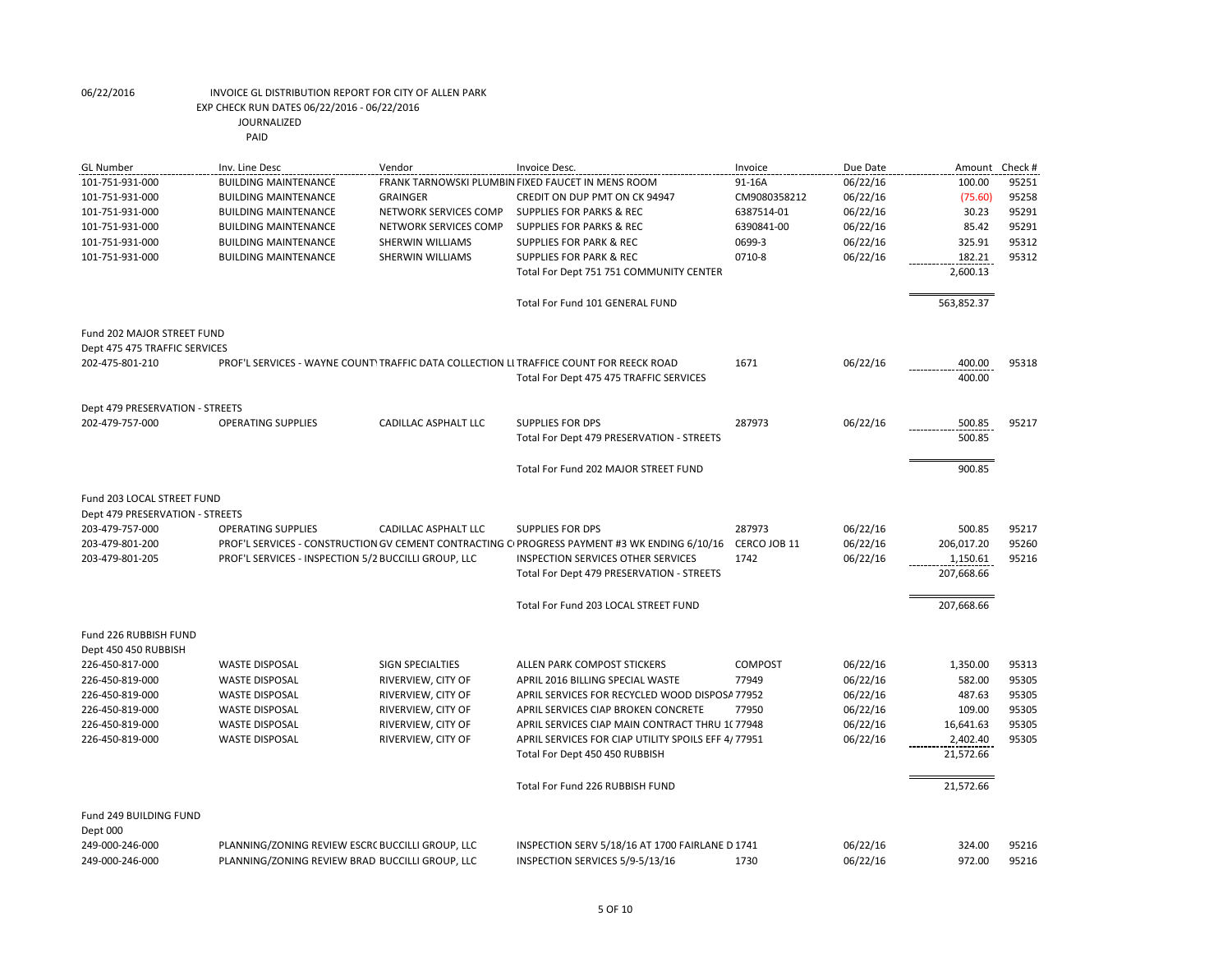| 91-16A<br>06/22/16<br>100.00<br>95251<br>101-751-931-000<br><b>BUILDING MAINTENANCE</b><br>FRANK TARNOWSKI PLUMBIN FIXED FAUCET IN MENS ROOM<br><b>GRAINGER</b><br>CREDIT ON DUP PMT ON CK 94947<br>CM9080358212<br>06/22/16<br>(75.60)<br>95258<br>101-751-931-000<br><b>BUILDING MAINTENANCE</b><br>06/22/16<br>30.23<br>95291<br>101-751-931-000<br><b>BUILDING MAINTENANCE</b><br>NETWORK SERVICES COMP<br><b>SUPPLIES FOR PARKS &amp; REC</b><br>6387514-01<br>NETWORK SERVICES COMP<br><b>SUPPLIES FOR PARKS &amp; REC</b><br>6390841-00<br>06/22/16<br>85.42<br>95291<br>101-751-931-000<br><b>BUILDING MAINTENANCE</b><br>325.91<br>95312<br>101-751-931-000<br>SHERWIN WILLIAMS<br>0699-3<br>06/22/16<br><b>BUILDING MAINTENANCE</b><br><b>SUPPLIES FOR PARK &amp; REC</b><br>0710-8<br>06/22/16<br>182.21<br>95312<br>101-751-931-000<br><b>BUILDING MAINTENANCE</b><br><b>SHERWIN WILLIAMS</b><br><b>SUPPLIES FOR PARK &amp; REC</b><br>2,600.13<br>Total For Dept 751 751 COMMUNITY CENTER<br>Total For Fund 101 GENERAL FUND<br>563,852.37<br>Fund 202 MAJOR STREET FUND<br>Dept 475 475 TRAFFIC SERVICES<br>1671<br>06/22/16<br>400.00<br>95318<br>202-475-801-210<br>PROF'L SERVICES - WAYNE COUNTY TRAFFIC DATA COLLECTION LI TRAFFICE COUNT FOR REECK ROAD<br>400.00<br>Total For Dept 475 475 TRAFFIC SERVICES<br>Dept 479 PRESERVATION - STREETS<br>06/22/16<br>202-479-757-000<br><b>OPERATING SUPPLIES</b><br>CADILLAC ASPHALT LLC<br><b>SUPPLIES FOR DPS</b><br>287973<br>500.85<br>95217<br>500.85<br>Total For Dept 479 PRESERVATION - STREETS<br>Total For Fund 202 MAJOR STREET FUND<br>900.85<br>Fund 203 LOCAL STREET FUND<br>Dept 479 PRESERVATION - STREETS<br>287973<br>500.85<br>203-479-757-000<br><b>OPERATING SUPPLIES</b><br>CADILLAC ASPHALT LLC<br><b>SUPPLIES FOR DPS</b><br>06/22/16<br>95217<br>206,017.20<br>203-479-801-200<br>PROF'L SERVICES - CONSTRUCTION GV CEMENT CONTRACTING C PROGRESS PAYMENT #3 WK ENDING 6/10/16<br>CERCO JOB 11<br>06/22/16<br>95260<br>PROF'L SERVICES - INSPECTION 5/2 BUCCILLI GROUP, LLC<br>1742<br>06/22/16<br>95216<br>203-479-801-205<br><b>INSPECTION SERVICES OTHER SERVICES</b><br>1,150.61<br>207,668.66<br>Total For Dept 479 PRESERVATION - STREETS<br>Total For Fund 203 LOCAL STREET FUND<br>207,668.66<br>Fund 226 RUBBISH FUND<br>Dept 450 450 RUBBISH<br>COMPOST<br>06/22/16<br>1,350.00<br>95313<br>226-450-817-000<br><b>WASTE DISPOSAL</b><br><b>SIGN SPECIALTIES</b><br>ALLEN PARK COMPOST STICKERS<br>95305<br>226-450-819-000<br><b>WASTE DISPOSAL</b><br>RIVERVIEW, CITY OF<br>77949<br>06/22/16<br>582.00<br>APRIL 2016 BILLING SPECIAL WASTE<br>95305<br>226-450-819-000<br><b>WASTE DISPOSAL</b><br>RIVERVIEW, CITY OF<br>APRIL SERVICES FOR RECYCLED WOOD DISPOSA 77952<br>06/22/16<br>487.63<br>RIVERVIEW, CITY OF<br>95305<br>226-450-819-000<br><b>WASTE DISPOSAL</b><br>APRIL SERVICES CIAP BROKEN CONCRETE<br>77950<br>06/22/16<br>109.00<br>RIVERVIEW, CITY OF<br>16,641.63<br>95305<br>226-450-819-000<br><b>WASTE DISPOSAL</b><br>APRIL SERVICES CIAP MAIN CONTRACT THRU 1(77948)<br>06/22/16<br>226-450-819-000<br><b>WASTE DISPOSAL</b><br>RIVERVIEW, CITY OF<br>APRIL SERVICES FOR CIAP UTILITY SPOILS EFF 4/77951<br>06/22/16<br>2,402.40<br>95305<br>21,572.66<br>Total For Dept 450 450 RUBBISH<br>Total For Fund 226 RUBBISH FUND<br>21,572.66<br>Fund 249 BUILDING FUND<br>Dept 000<br>249-000-246-000<br>PLANNING/ZONING REVIEW ESCR( BUCCILLI GROUP, LLC<br>INSPECTION SERV 5/18/16 AT 1700 FAIRLANE D 1741<br>06/22/16<br>324.00<br>95216<br>06/22/16<br>972.00<br>95216<br>249-000-246-000<br>PLANNING/ZONING REVIEW BRAD BUCCILLI GROUP, LLC<br>INSPECTION SERVICES 5/9-5/13/16<br>1730 | <b>GL Number</b> | Inv. Line Desc | Vendor | Invoice Desc. | Invoice | Due Date | Amount | Check # |
|------------------------------------------------------------------------------------------------------------------------------------------------------------------------------------------------------------------------------------------------------------------------------------------------------------------------------------------------------------------------------------------------------------------------------------------------------------------------------------------------------------------------------------------------------------------------------------------------------------------------------------------------------------------------------------------------------------------------------------------------------------------------------------------------------------------------------------------------------------------------------------------------------------------------------------------------------------------------------------------------------------------------------------------------------------------------------------------------------------------------------------------------------------------------------------------------------------------------------------------------------------------------------------------------------------------------------------------------------------------------------------------------------------------------------------------------------------------------------------------------------------------------------------------------------------------------------------------------------------------------------------------------------------------------------------------------------------------------------------------------------------------------------------------------------------------------------------------------------------------------------------------------------------------------------------------------------------------------------------------------------------------------------------------------------------------------------------------------------------------------------------------------------------------------------------------------------------------------------------------------------------------------------------------------------------------------------------------------------------------------------------------------------------------------------------------------------------------------------------------------------------------------------------------------------------------------------------------------------------------------------------------------------------------------------------------------------------------------------------------------------------------------------------------------------------------------------------------------------------------------------------------------------------------------------------------------------------------------------------------------------------------------------------------------------------------------------------------------------------------------------------------------------------------------------------------------------------------------------------------------------------------------------------------------------------------------------------------------------------------------------------------------------------------------------------------------------------------------------------------------------------------------------------------------------------------------------------------------------------------------------------------------------------------------------------------------------------------|------------------|----------------|--------|---------------|---------|----------|--------|---------|
|                                                                                                                                                                                                                                                                                                                                                                                                                                                                                                                                                                                                                                                                                                                                                                                                                                                                                                                                                                                                                                                                                                                                                                                                                                                                                                                                                                                                                                                                                                                                                                                                                                                                                                                                                                                                                                                                                                                                                                                                                                                                                                                                                                                                                                                                                                                                                                                                                                                                                                                                                                                                                                                                                                                                                                                                                                                                                                                                                                                                                                                                                                                                                                                                                                                                                                                                                                                                                                                                                                                                                                                                                                                                                                                  |                  |                |        |               |         |          |        |         |
|                                                                                                                                                                                                                                                                                                                                                                                                                                                                                                                                                                                                                                                                                                                                                                                                                                                                                                                                                                                                                                                                                                                                                                                                                                                                                                                                                                                                                                                                                                                                                                                                                                                                                                                                                                                                                                                                                                                                                                                                                                                                                                                                                                                                                                                                                                                                                                                                                                                                                                                                                                                                                                                                                                                                                                                                                                                                                                                                                                                                                                                                                                                                                                                                                                                                                                                                                                                                                                                                                                                                                                                                                                                                                                                  |                  |                |        |               |         |          |        |         |
|                                                                                                                                                                                                                                                                                                                                                                                                                                                                                                                                                                                                                                                                                                                                                                                                                                                                                                                                                                                                                                                                                                                                                                                                                                                                                                                                                                                                                                                                                                                                                                                                                                                                                                                                                                                                                                                                                                                                                                                                                                                                                                                                                                                                                                                                                                                                                                                                                                                                                                                                                                                                                                                                                                                                                                                                                                                                                                                                                                                                                                                                                                                                                                                                                                                                                                                                                                                                                                                                                                                                                                                                                                                                                                                  |                  |                |        |               |         |          |        |         |
|                                                                                                                                                                                                                                                                                                                                                                                                                                                                                                                                                                                                                                                                                                                                                                                                                                                                                                                                                                                                                                                                                                                                                                                                                                                                                                                                                                                                                                                                                                                                                                                                                                                                                                                                                                                                                                                                                                                                                                                                                                                                                                                                                                                                                                                                                                                                                                                                                                                                                                                                                                                                                                                                                                                                                                                                                                                                                                                                                                                                                                                                                                                                                                                                                                                                                                                                                                                                                                                                                                                                                                                                                                                                                                                  |                  |                |        |               |         |          |        |         |
|                                                                                                                                                                                                                                                                                                                                                                                                                                                                                                                                                                                                                                                                                                                                                                                                                                                                                                                                                                                                                                                                                                                                                                                                                                                                                                                                                                                                                                                                                                                                                                                                                                                                                                                                                                                                                                                                                                                                                                                                                                                                                                                                                                                                                                                                                                                                                                                                                                                                                                                                                                                                                                                                                                                                                                                                                                                                                                                                                                                                                                                                                                                                                                                                                                                                                                                                                                                                                                                                                                                                                                                                                                                                                                                  |                  |                |        |               |         |          |        |         |
|                                                                                                                                                                                                                                                                                                                                                                                                                                                                                                                                                                                                                                                                                                                                                                                                                                                                                                                                                                                                                                                                                                                                                                                                                                                                                                                                                                                                                                                                                                                                                                                                                                                                                                                                                                                                                                                                                                                                                                                                                                                                                                                                                                                                                                                                                                                                                                                                                                                                                                                                                                                                                                                                                                                                                                                                                                                                                                                                                                                                                                                                                                                                                                                                                                                                                                                                                                                                                                                                                                                                                                                                                                                                                                                  |                  |                |        |               |         |          |        |         |
|                                                                                                                                                                                                                                                                                                                                                                                                                                                                                                                                                                                                                                                                                                                                                                                                                                                                                                                                                                                                                                                                                                                                                                                                                                                                                                                                                                                                                                                                                                                                                                                                                                                                                                                                                                                                                                                                                                                                                                                                                                                                                                                                                                                                                                                                                                                                                                                                                                                                                                                                                                                                                                                                                                                                                                                                                                                                                                                                                                                                                                                                                                                                                                                                                                                                                                                                                                                                                                                                                                                                                                                                                                                                                                                  |                  |                |        |               |         |          |        |         |
|                                                                                                                                                                                                                                                                                                                                                                                                                                                                                                                                                                                                                                                                                                                                                                                                                                                                                                                                                                                                                                                                                                                                                                                                                                                                                                                                                                                                                                                                                                                                                                                                                                                                                                                                                                                                                                                                                                                                                                                                                                                                                                                                                                                                                                                                                                                                                                                                                                                                                                                                                                                                                                                                                                                                                                                                                                                                                                                                                                                                                                                                                                                                                                                                                                                                                                                                                                                                                                                                                                                                                                                                                                                                                                                  |                  |                |        |               |         |          |        |         |
|                                                                                                                                                                                                                                                                                                                                                                                                                                                                                                                                                                                                                                                                                                                                                                                                                                                                                                                                                                                                                                                                                                                                                                                                                                                                                                                                                                                                                                                                                                                                                                                                                                                                                                                                                                                                                                                                                                                                                                                                                                                                                                                                                                                                                                                                                                                                                                                                                                                                                                                                                                                                                                                                                                                                                                                                                                                                                                                                                                                                                                                                                                                                                                                                                                                                                                                                                                                                                                                                                                                                                                                                                                                                                                                  |                  |                |        |               |         |          |        |         |
|                                                                                                                                                                                                                                                                                                                                                                                                                                                                                                                                                                                                                                                                                                                                                                                                                                                                                                                                                                                                                                                                                                                                                                                                                                                                                                                                                                                                                                                                                                                                                                                                                                                                                                                                                                                                                                                                                                                                                                                                                                                                                                                                                                                                                                                                                                                                                                                                                                                                                                                                                                                                                                                                                                                                                                                                                                                                                                                                                                                                                                                                                                                                                                                                                                                                                                                                                                                                                                                                                                                                                                                                                                                                                                                  |                  |                |        |               |         |          |        |         |
|                                                                                                                                                                                                                                                                                                                                                                                                                                                                                                                                                                                                                                                                                                                                                                                                                                                                                                                                                                                                                                                                                                                                                                                                                                                                                                                                                                                                                                                                                                                                                                                                                                                                                                                                                                                                                                                                                                                                                                                                                                                                                                                                                                                                                                                                                                                                                                                                                                                                                                                                                                                                                                                                                                                                                                                                                                                                                                                                                                                                                                                                                                                                                                                                                                                                                                                                                                                                                                                                                                                                                                                                                                                                                                                  |                  |                |        |               |         |          |        |         |
|                                                                                                                                                                                                                                                                                                                                                                                                                                                                                                                                                                                                                                                                                                                                                                                                                                                                                                                                                                                                                                                                                                                                                                                                                                                                                                                                                                                                                                                                                                                                                                                                                                                                                                                                                                                                                                                                                                                                                                                                                                                                                                                                                                                                                                                                                                                                                                                                                                                                                                                                                                                                                                                                                                                                                                                                                                                                                                                                                                                                                                                                                                                                                                                                                                                                                                                                                                                                                                                                                                                                                                                                                                                                                                                  |                  |                |        |               |         |          |        |         |
|                                                                                                                                                                                                                                                                                                                                                                                                                                                                                                                                                                                                                                                                                                                                                                                                                                                                                                                                                                                                                                                                                                                                                                                                                                                                                                                                                                                                                                                                                                                                                                                                                                                                                                                                                                                                                                                                                                                                                                                                                                                                                                                                                                                                                                                                                                                                                                                                                                                                                                                                                                                                                                                                                                                                                                                                                                                                                                                                                                                                                                                                                                                                                                                                                                                                                                                                                                                                                                                                                                                                                                                                                                                                                                                  |                  |                |        |               |         |          |        |         |
|                                                                                                                                                                                                                                                                                                                                                                                                                                                                                                                                                                                                                                                                                                                                                                                                                                                                                                                                                                                                                                                                                                                                                                                                                                                                                                                                                                                                                                                                                                                                                                                                                                                                                                                                                                                                                                                                                                                                                                                                                                                                                                                                                                                                                                                                                                                                                                                                                                                                                                                                                                                                                                                                                                                                                                                                                                                                                                                                                                                                                                                                                                                                                                                                                                                                                                                                                                                                                                                                                                                                                                                                                                                                                                                  |                  |                |        |               |         |          |        |         |
|                                                                                                                                                                                                                                                                                                                                                                                                                                                                                                                                                                                                                                                                                                                                                                                                                                                                                                                                                                                                                                                                                                                                                                                                                                                                                                                                                                                                                                                                                                                                                                                                                                                                                                                                                                                                                                                                                                                                                                                                                                                                                                                                                                                                                                                                                                                                                                                                                                                                                                                                                                                                                                                                                                                                                                                                                                                                                                                                                                                                                                                                                                                                                                                                                                                                                                                                                                                                                                                                                                                                                                                                                                                                                                                  |                  |                |        |               |         |          |        |         |
|                                                                                                                                                                                                                                                                                                                                                                                                                                                                                                                                                                                                                                                                                                                                                                                                                                                                                                                                                                                                                                                                                                                                                                                                                                                                                                                                                                                                                                                                                                                                                                                                                                                                                                                                                                                                                                                                                                                                                                                                                                                                                                                                                                                                                                                                                                                                                                                                                                                                                                                                                                                                                                                                                                                                                                                                                                                                                                                                                                                                                                                                                                                                                                                                                                                                                                                                                                                                                                                                                                                                                                                                                                                                                                                  |                  |                |        |               |         |          |        |         |
|                                                                                                                                                                                                                                                                                                                                                                                                                                                                                                                                                                                                                                                                                                                                                                                                                                                                                                                                                                                                                                                                                                                                                                                                                                                                                                                                                                                                                                                                                                                                                                                                                                                                                                                                                                                                                                                                                                                                                                                                                                                                                                                                                                                                                                                                                                                                                                                                                                                                                                                                                                                                                                                                                                                                                                                                                                                                                                                                                                                                                                                                                                                                                                                                                                                                                                                                                                                                                                                                                                                                                                                                                                                                                                                  |                  |                |        |               |         |          |        |         |
|                                                                                                                                                                                                                                                                                                                                                                                                                                                                                                                                                                                                                                                                                                                                                                                                                                                                                                                                                                                                                                                                                                                                                                                                                                                                                                                                                                                                                                                                                                                                                                                                                                                                                                                                                                                                                                                                                                                                                                                                                                                                                                                                                                                                                                                                                                                                                                                                                                                                                                                                                                                                                                                                                                                                                                                                                                                                                                                                                                                                                                                                                                                                                                                                                                                                                                                                                                                                                                                                                                                                                                                                                                                                                                                  |                  |                |        |               |         |          |        |         |
|                                                                                                                                                                                                                                                                                                                                                                                                                                                                                                                                                                                                                                                                                                                                                                                                                                                                                                                                                                                                                                                                                                                                                                                                                                                                                                                                                                                                                                                                                                                                                                                                                                                                                                                                                                                                                                                                                                                                                                                                                                                                                                                                                                                                                                                                                                                                                                                                                                                                                                                                                                                                                                                                                                                                                                                                                                                                                                                                                                                                                                                                                                                                                                                                                                                                                                                                                                                                                                                                                                                                                                                                                                                                                                                  |                  |                |        |               |         |          |        |         |
|                                                                                                                                                                                                                                                                                                                                                                                                                                                                                                                                                                                                                                                                                                                                                                                                                                                                                                                                                                                                                                                                                                                                                                                                                                                                                                                                                                                                                                                                                                                                                                                                                                                                                                                                                                                                                                                                                                                                                                                                                                                                                                                                                                                                                                                                                                                                                                                                                                                                                                                                                                                                                                                                                                                                                                                                                                                                                                                                                                                                                                                                                                                                                                                                                                                                                                                                                                                                                                                                                                                                                                                                                                                                                                                  |                  |                |        |               |         |          |        |         |
|                                                                                                                                                                                                                                                                                                                                                                                                                                                                                                                                                                                                                                                                                                                                                                                                                                                                                                                                                                                                                                                                                                                                                                                                                                                                                                                                                                                                                                                                                                                                                                                                                                                                                                                                                                                                                                                                                                                                                                                                                                                                                                                                                                                                                                                                                                                                                                                                                                                                                                                                                                                                                                                                                                                                                                                                                                                                                                                                                                                                                                                                                                                                                                                                                                                                                                                                                                                                                                                                                                                                                                                                                                                                                                                  |                  |                |        |               |         |          |        |         |
|                                                                                                                                                                                                                                                                                                                                                                                                                                                                                                                                                                                                                                                                                                                                                                                                                                                                                                                                                                                                                                                                                                                                                                                                                                                                                                                                                                                                                                                                                                                                                                                                                                                                                                                                                                                                                                                                                                                                                                                                                                                                                                                                                                                                                                                                                                                                                                                                                                                                                                                                                                                                                                                                                                                                                                                                                                                                                                                                                                                                                                                                                                                                                                                                                                                                                                                                                                                                                                                                                                                                                                                                                                                                                                                  |                  |                |        |               |         |          |        |         |
|                                                                                                                                                                                                                                                                                                                                                                                                                                                                                                                                                                                                                                                                                                                                                                                                                                                                                                                                                                                                                                                                                                                                                                                                                                                                                                                                                                                                                                                                                                                                                                                                                                                                                                                                                                                                                                                                                                                                                                                                                                                                                                                                                                                                                                                                                                                                                                                                                                                                                                                                                                                                                                                                                                                                                                                                                                                                                                                                                                                                                                                                                                                                                                                                                                                                                                                                                                                                                                                                                                                                                                                                                                                                                                                  |                  |                |        |               |         |          |        |         |
|                                                                                                                                                                                                                                                                                                                                                                                                                                                                                                                                                                                                                                                                                                                                                                                                                                                                                                                                                                                                                                                                                                                                                                                                                                                                                                                                                                                                                                                                                                                                                                                                                                                                                                                                                                                                                                                                                                                                                                                                                                                                                                                                                                                                                                                                                                                                                                                                                                                                                                                                                                                                                                                                                                                                                                                                                                                                                                                                                                                                                                                                                                                                                                                                                                                                                                                                                                                                                                                                                                                                                                                                                                                                                                                  |                  |                |        |               |         |          |        |         |
|                                                                                                                                                                                                                                                                                                                                                                                                                                                                                                                                                                                                                                                                                                                                                                                                                                                                                                                                                                                                                                                                                                                                                                                                                                                                                                                                                                                                                                                                                                                                                                                                                                                                                                                                                                                                                                                                                                                                                                                                                                                                                                                                                                                                                                                                                                                                                                                                                                                                                                                                                                                                                                                                                                                                                                                                                                                                                                                                                                                                                                                                                                                                                                                                                                                                                                                                                                                                                                                                                                                                                                                                                                                                                                                  |                  |                |        |               |         |          |        |         |
|                                                                                                                                                                                                                                                                                                                                                                                                                                                                                                                                                                                                                                                                                                                                                                                                                                                                                                                                                                                                                                                                                                                                                                                                                                                                                                                                                                                                                                                                                                                                                                                                                                                                                                                                                                                                                                                                                                                                                                                                                                                                                                                                                                                                                                                                                                                                                                                                                                                                                                                                                                                                                                                                                                                                                                                                                                                                                                                                                                                                                                                                                                                                                                                                                                                                                                                                                                                                                                                                                                                                                                                                                                                                                                                  |                  |                |        |               |         |          |        |         |
|                                                                                                                                                                                                                                                                                                                                                                                                                                                                                                                                                                                                                                                                                                                                                                                                                                                                                                                                                                                                                                                                                                                                                                                                                                                                                                                                                                                                                                                                                                                                                                                                                                                                                                                                                                                                                                                                                                                                                                                                                                                                                                                                                                                                                                                                                                                                                                                                                                                                                                                                                                                                                                                                                                                                                                                                                                                                                                                                                                                                                                                                                                                                                                                                                                                                                                                                                                                                                                                                                                                                                                                                                                                                                                                  |                  |                |        |               |         |          |        |         |
|                                                                                                                                                                                                                                                                                                                                                                                                                                                                                                                                                                                                                                                                                                                                                                                                                                                                                                                                                                                                                                                                                                                                                                                                                                                                                                                                                                                                                                                                                                                                                                                                                                                                                                                                                                                                                                                                                                                                                                                                                                                                                                                                                                                                                                                                                                                                                                                                                                                                                                                                                                                                                                                                                                                                                                                                                                                                                                                                                                                                                                                                                                                                                                                                                                                                                                                                                                                                                                                                                                                                                                                                                                                                                                                  |                  |                |        |               |         |          |        |         |
|                                                                                                                                                                                                                                                                                                                                                                                                                                                                                                                                                                                                                                                                                                                                                                                                                                                                                                                                                                                                                                                                                                                                                                                                                                                                                                                                                                                                                                                                                                                                                                                                                                                                                                                                                                                                                                                                                                                                                                                                                                                                                                                                                                                                                                                                                                                                                                                                                                                                                                                                                                                                                                                                                                                                                                                                                                                                                                                                                                                                                                                                                                                                                                                                                                                                                                                                                                                                                                                                                                                                                                                                                                                                                                                  |                  |                |        |               |         |          |        |         |
|                                                                                                                                                                                                                                                                                                                                                                                                                                                                                                                                                                                                                                                                                                                                                                                                                                                                                                                                                                                                                                                                                                                                                                                                                                                                                                                                                                                                                                                                                                                                                                                                                                                                                                                                                                                                                                                                                                                                                                                                                                                                                                                                                                                                                                                                                                                                                                                                                                                                                                                                                                                                                                                                                                                                                                                                                                                                                                                                                                                                                                                                                                                                                                                                                                                                                                                                                                                                                                                                                                                                                                                                                                                                                                                  |                  |                |        |               |         |          |        |         |
|                                                                                                                                                                                                                                                                                                                                                                                                                                                                                                                                                                                                                                                                                                                                                                                                                                                                                                                                                                                                                                                                                                                                                                                                                                                                                                                                                                                                                                                                                                                                                                                                                                                                                                                                                                                                                                                                                                                                                                                                                                                                                                                                                                                                                                                                                                                                                                                                                                                                                                                                                                                                                                                                                                                                                                                                                                                                                                                                                                                                                                                                                                                                                                                                                                                                                                                                                                                                                                                                                                                                                                                                                                                                                                                  |                  |                |        |               |         |          |        |         |
|                                                                                                                                                                                                                                                                                                                                                                                                                                                                                                                                                                                                                                                                                                                                                                                                                                                                                                                                                                                                                                                                                                                                                                                                                                                                                                                                                                                                                                                                                                                                                                                                                                                                                                                                                                                                                                                                                                                                                                                                                                                                                                                                                                                                                                                                                                                                                                                                                                                                                                                                                                                                                                                                                                                                                                                                                                                                                                                                                                                                                                                                                                                                                                                                                                                                                                                                                                                                                                                                                                                                                                                                                                                                                                                  |                  |                |        |               |         |          |        |         |
|                                                                                                                                                                                                                                                                                                                                                                                                                                                                                                                                                                                                                                                                                                                                                                                                                                                                                                                                                                                                                                                                                                                                                                                                                                                                                                                                                                                                                                                                                                                                                                                                                                                                                                                                                                                                                                                                                                                                                                                                                                                                                                                                                                                                                                                                                                                                                                                                                                                                                                                                                                                                                                                                                                                                                                                                                                                                                                                                                                                                                                                                                                                                                                                                                                                                                                                                                                                                                                                                                                                                                                                                                                                                                                                  |                  |                |        |               |         |          |        |         |
|                                                                                                                                                                                                                                                                                                                                                                                                                                                                                                                                                                                                                                                                                                                                                                                                                                                                                                                                                                                                                                                                                                                                                                                                                                                                                                                                                                                                                                                                                                                                                                                                                                                                                                                                                                                                                                                                                                                                                                                                                                                                                                                                                                                                                                                                                                                                                                                                                                                                                                                                                                                                                                                                                                                                                                                                                                                                                                                                                                                                                                                                                                                                                                                                                                                                                                                                                                                                                                                                                                                                                                                                                                                                                                                  |                  |                |        |               |         |          |        |         |
|                                                                                                                                                                                                                                                                                                                                                                                                                                                                                                                                                                                                                                                                                                                                                                                                                                                                                                                                                                                                                                                                                                                                                                                                                                                                                                                                                                                                                                                                                                                                                                                                                                                                                                                                                                                                                                                                                                                                                                                                                                                                                                                                                                                                                                                                                                                                                                                                                                                                                                                                                                                                                                                                                                                                                                                                                                                                                                                                                                                                                                                                                                                                                                                                                                                                                                                                                                                                                                                                                                                                                                                                                                                                                                                  |                  |                |        |               |         |          |        |         |
|                                                                                                                                                                                                                                                                                                                                                                                                                                                                                                                                                                                                                                                                                                                                                                                                                                                                                                                                                                                                                                                                                                                                                                                                                                                                                                                                                                                                                                                                                                                                                                                                                                                                                                                                                                                                                                                                                                                                                                                                                                                                                                                                                                                                                                                                                                                                                                                                                                                                                                                                                                                                                                                                                                                                                                                                                                                                                                                                                                                                                                                                                                                                                                                                                                                                                                                                                                                                                                                                                                                                                                                                                                                                                                                  |                  |                |        |               |         |          |        |         |
|                                                                                                                                                                                                                                                                                                                                                                                                                                                                                                                                                                                                                                                                                                                                                                                                                                                                                                                                                                                                                                                                                                                                                                                                                                                                                                                                                                                                                                                                                                                                                                                                                                                                                                                                                                                                                                                                                                                                                                                                                                                                                                                                                                                                                                                                                                                                                                                                                                                                                                                                                                                                                                                                                                                                                                                                                                                                                                                                                                                                                                                                                                                                                                                                                                                                                                                                                                                                                                                                                                                                                                                                                                                                                                                  |                  |                |        |               |         |          |        |         |
|                                                                                                                                                                                                                                                                                                                                                                                                                                                                                                                                                                                                                                                                                                                                                                                                                                                                                                                                                                                                                                                                                                                                                                                                                                                                                                                                                                                                                                                                                                                                                                                                                                                                                                                                                                                                                                                                                                                                                                                                                                                                                                                                                                                                                                                                                                                                                                                                                                                                                                                                                                                                                                                                                                                                                                                                                                                                                                                                                                                                                                                                                                                                                                                                                                                                                                                                                                                                                                                                                                                                                                                                                                                                                                                  |                  |                |        |               |         |          |        |         |
|                                                                                                                                                                                                                                                                                                                                                                                                                                                                                                                                                                                                                                                                                                                                                                                                                                                                                                                                                                                                                                                                                                                                                                                                                                                                                                                                                                                                                                                                                                                                                                                                                                                                                                                                                                                                                                                                                                                                                                                                                                                                                                                                                                                                                                                                                                                                                                                                                                                                                                                                                                                                                                                                                                                                                                                                                                                                                                                                                                                                                                                                                                                                                                                                                                                                                                                                                                                                                                                                                                                                                                                                                                                                                                                  |                  |                |        |               |         |          |        |         |
|                                                                                                                                                                                                                                                                                                                                                                                                                                                                                                                                                                                                                                                                                                                                                                                                                                                                                                                                                                                                                                                                                                                                                                                                                                                                                                                                                                                                                                                                                                                                                                                                                                                                                                                                                                                                                                                                                                                                                                                                                                                                                                                                                                                                                                                                                                                                                                                                                                                                                                                                                                                                                                                                                                                                                                                                                                                                                                                                                                                                                                                                                                                                                                                                                                                                                                                                                                                                                                                                                                                                                                                                                                                                                                                  |                  |                |        |               |         |          |        |         |
|                                                                                                                                                                                                                                                                                                                                                                                                                                                                                                                                                                                                                                                                                                                                                                                                                                                                                                                                                                                                                                                                                                                                                                                                                                                                                                                                                                                                                                                                                                                                                                                                                                                                                                                                                                                                                                                                                                                                                                                                                                                                                                                                                                                                                                                                                                                                                                                                                                                                                                                                                                                                                                                                                                                                                                                                                                                                                                                                                                                                                                                                                                                                                                                                                                                                                                                                                                                                                                                                                                                                                                                                                                                                                                                  |                  |                |        |               |         |          |        |         |
|                                                                                                                                                                                                                                                                                                                                                                                                                                                                                                                                                                                                                                                                                                                                                                                                                                                                                                                                                                                                                                                                                                                                                                                                                                                                                                                                                                                                                                                                                                                                                                                                                                                                                                                                                                                                                                                                                                                                                                                                                                                                                                                                                                                                                                                                                                                                                                                                                                                                                                                                                                                                                                                                                                                                                                                                                                                                                                                                                                                                                                                                                                                                                                                                                                                                                                                                                                                                                                                                                                                                                                                                                                                                                                                  |                  |                |        |               |         |          |        |         |
|                                                                                                                                                                                                                                                                                                                                                                                                                                                                                                                                                                                                                                                                                                                                                                                                                                                                                                                                                                                                                                                                                                                                                                                                                                                                                                                                                                                                                                                                                                                                                                                                                                                                                                                                                                                                                                                                                                                                                                                                                                                                                                                                                                                                                                                                                                                                                                                                                                                                                                                                                                                                                                                                                                                                                                                                                                                                                                                                                                                                                                                                                                                                                                                                                                                                                                                                                                                                                                                                                                                                                                                                                                                                                                                  |                  |                |        |               |         |          |        |         |
|                                                                                                                                                                                                                                                                                                                                                                                                                                                                                                                                                                                                                                                                                                                                                                                                                                                                                                                                                                                                                                                                                                                                                                                                                                                                                                                                                                                                                                                                                                                                                                                                                                                                                                                                                                                                                                                                                                                                                                                                                                                                                                                                                                                                                                                                                                                                                                                                                                                                                                                                                                                                                                                                                                                                                                                                                                                                                                                                                                                                                                                                                                                                                                                                                                                                                                                                                                                                                                                                                                                                                                                                                                                                                                                  |                  |                |        |               |         |          |        |         |
|                                                                                                                                                                                                                                                                                                                                                                                                                                                                                                                                                                                                                                                                                                                                                                                                                                                                                                                                                                                                                                                                                                                                                                                                                                                                                                                                                                                                                                                                                                                                                                                                                                                                                                                                                                                                                                                                                                                                                                                                                                                                                                                                                                                                                                                                                                                                                                                                                                                                                                                                                                                                                                                                                                                                                                                                                                                                                                                                                                                                                                                                                                                                                                                                                                                                                                                                                                                                                                                                                                                                                                                                                                                                                                                  |                  |                |        |               |         |          |        |         |
|                                                                                                                                                                                                                                                                                                                                                                                                                                                                                                                                                                                                                                                                                                                                                                                                                                                                                                                                                                                                                                                                                                                                                                                                                                                                                                                                                                                                                                                                                                                                                                                                                                                                                                                                                                                                                                                                                                                                                                                                                                                                                                                                                                                                                                                                                                                                                                                                                                                                                                                                                                                                                                                                                                                                                                                                                                                                                                                                                                                                                                                                                                                                                                                                                                                                                                                                                                                                                                                                                                                                                                                                                                                                                                                  |                  |                |        |               |         |          |        |         |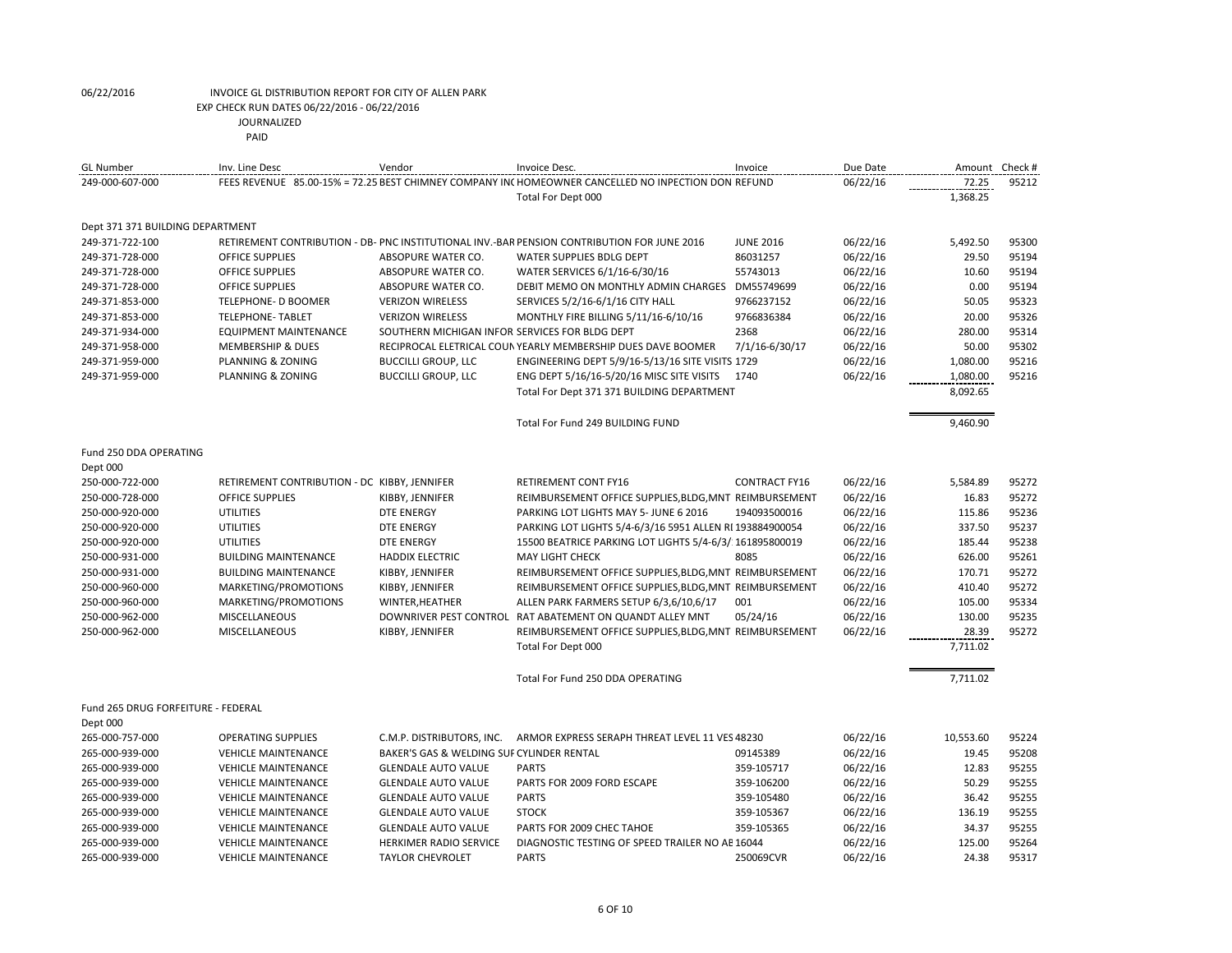| <b>GL Number</b>                   | Inv. Line Desc                               | Vendor                                         | Invoice Desc.                                                                                       | Invoice              | Due Date | Amount    | Check # |
|------------------------------------|----------------------------------------------|------------------------------------------------|-----------------------------------------------------------------------------------------------------|----------------------|----------|-----------|---------|
| 249-000-607-000                    |                                              |                                                | FEES REVENUE 85.00-15% = 72.25 BEST CHIMNEY COMPANY INC HOMEOWNER CANCELLED NO INPECTION DON REFUND |                      | 06/22/16 | 72.25     | 95212   |
|                                    |                                              |                                                | Total For Dept 000                                                                                  |                      |          | 1,368.25  |         |
|                                    |                                              |                                                |                                                                                                     |                      |          |           |         |
| Dept 371 371 BUILDING DEPARTMENT   |                                              |                                                |                                                                                                     |                      |          |           |         |
| 249-371-722-100                    |                                              |                                                | RETIREMENT CONTRIBUTION - DB- PNC INSTITUTIONAL INV.-BAR PENSION CONTRIBUTION FOR JUNE 2016         | <b>JUNE 2016</b>     | 06/22/16 | 5,492.50  | 95300   |
| 249-371-728-000                    | <b>OFFICE SUPPLIES</b>                       | ABSOPURE WATER CO.                             | <b>WATER SUPPLIES BDLG DEPT</b>                                                                     | 86031257             | 06/22/16 | 29.50     | 95194   |
| 249-371-728-000                    | OFFICE SUPPLIES                              | ABSOPURE WATER CO.                             | WATER SERVICES 6/1/16-6/30/16                                                                       | 55743013             | 06/22/16 | 10.60     | 95194   |
| 249-371-728-000                    | OFFICE SUPPLIES                              | ABSOPURE WATER CO.                             | DEBIT MEMO ON MONTHLY ADMIN CHARGES DM55749699                                                      |                      | 06/22/16 | 0.00      | 95194   |
| 249-371-853-000                    | TELEPHONE- D BOOMER                          | <b>VERIZON WIRELESS</b>                        | SERVICES 5/2/16-6/1/16 CITY HALL                                                                    | 9766237152           | 06/22/16 | 50.05     | 95323   |
| 249-371-853-000                    | <b>TELEPHONE- TABLET</b>                     | <b>VERIZON WIRELESS</b>                        | MONTHLY FIRE BILLING 5/11/16-6/10/16                                                                | 9766836384           | 06/22/16 | 20.00     | 95326   |
| 249-371-934-000                    | <b>EQUIPMENT MAINTENANCE</b>                 | SOUTHERN MICHIGAN INFOR SERVICES FOR BLDG DEPT |                                                                                                     | 2368                 | 06/22/16 | 280.00    | 95314   |
| 249-371-958-000                    | <b>MEMBERSHIP &amp; DUES</b>                 |                                                | RECIPROCAL ELETRICAL COUN YEARLY MEMBERSHIP DUES DAVE BOOMER                                        | 7/1/16-6/30/17       | 06/22/16 | 50.00     | 95302   |
| 249-371-959-000                    | PLANNING & ZONING                            | <b>BUCCILLI GROUP, LLC</b>                     | ENGINEERING DEPT 5/9/16-5/13/16 SITE VISITS 1729                                                    |                      | 06/22/16 | 1,080.00  | 95216   |
| 249-371-959-000                    | PLANNING & ZONING                            | <b>BUCCILLI GROUP, LLC</b>                     | ENG DEPT 5/16/16-5/20/16 MISC SITE VISITS                                                           | 1740                 | 06/22/16 | 1,080.00  | 95216   |
|                                    |                                              |                                                | Total For Dept 371 371 BUILDING DEPARTMENT                                                          |                      |          | 8,092.65  |         |
|                                    |                                              |                                                |                                                                                                     |                      |          |           |         |
|                                    |                                              |                                                | Total For Fund 249 BUILDING FUND                                                                    |                      |          | 9,460.90  |         |
|                                    |                                              |                                                |                                                                                                     |                      |          |           |         |
| Fund 250 DDA OPERATING             |                                              |                                                |                                                                                                     |                      |          |           |         |
| Dept 000                           |                                              |                                                |                                                                                                     |                      |          |           |         |
| 250-000-722-000                    | RETIREMENT CONTRIBUTION - DC KIBBY, JENNIFER |                                                | RETIREMENT CONT FY16                                                                                | <b>CONTRACT FY16</b> | 06/22/16 | 5,584.89  | 95272   |
| 250-000-728-000                    | <b>OFFICE SUPPLIES</b>                       | KIBBY, JENNIFER                                | REIMBURSEMENT OFFICE SUPPLIES, BLDG, MNT REIMBURSEMENT                                              |                      | 06/22/16 | 16.83     | 95272   |
| 250-000-920-000                    | <b>UTILITIES</b>                             | <b>DTE ENERGY</b>                              | PARKING LOT LIGHTS MAY 5- JUNE 6 2016                                                               | 194093500016         | 06/22/16 | 115.86    | 95236   |
| 250-000-920-000                    | <b>UTILITIES</b>                             | <b>DTE ENERGY</b>                              | PARKING LOT LIGHTS 5/4-6/3/16 5951 ALLEN RI 193884900054                                            |                      | 06/22/16 | 337.50    | 95237   |
| 250-000-920-000                    | <b>UTILITIES</b>                             | <b>DTE ENERGY</b>                              | 15500 BEATRICE PARKING LOT LIGHTS 5/4-6/3/ 161895800019                                             |                      | 06/22/16 | 185.44    | 95238   |
| 250-000-931-000                    | <b>BUILDING MAINTENANCE</b>                  | <b>HADDIX ELECTRIC</b>                         | <b>MAY LIGHT CHECK</b>                                                                              | 8085                 | 06/22/16 | 626.00    | 95261   |
| 250-000-931-000                    | <b>BUILDING MAINTENANCE</b>                  | KIBBY, JENNIFER                                | REIMBURSEMENT OFFICE SUPPLIES, BLDG, MNT REIMBURSEMENT                                              |                      | 06/22/16 | 170.71    | 95272   |
| 250-000-960-000                    | MARKETING/PROMOTIONS                         | KIBBY, JENNIFER                                | REIMBURSEMENT OFFICE SUPPLIES, BLDG, MNT REIMBURSEMENT                                              |                      | 06/22/16 | 410.40    | 95272   |
| 250-000-960-000                    | MARKETING/PROMOTIONS                         | WINTER, HEATHER                                | ALLEN PARK FARMERS SETUP 6/3,6/10,6/17                                                              | 001                  | 06/22/16 | 105.00    | 95334   |
| 250-000-962-000                    | <b>MISCELLANEOUS</b>                         |                                                | DOWNRIVER PEST CONTROL RAT ABATEMENT ON QUANDT ALLEY MNT                                            | 05/24/16             | 06/22/16 | 130.00    | 95235   |
| 250-000-962-000                    | MISCELLANEOUS                                | KIBBY, JENNIFER                                | REIMBURSEMENT OFFICE SUPPLIES, BLDG, MNT REIMBURSEMENT                                              |                      | 06/22/16 | 28.39     | 95272   |
|                                    |                                              |                                                | Total For Dept 000                                                                                  |                      |          | 7,711.02  |         |
|                                    |                                              |                                                |                                                                                                     |                      |          |           |         |
|                                    |                                              |                                                | Total For Fund 250 DDA OPERATING                                                                    |                      |          | 7,711.02  |         |
| Fund 265 DRUG FORFEITURE - FEDERAL |                                              |                                                |                                                                                                     |                      |          |           |         |
| Dept 000                           |                                              |                                                |                                                                                                     |                      |          |           |         |
| 265-000-757-000                    | <b>OPERATING SUPPLIES</b>                    | C.M.P. DISTRIBUTORS, INC.                      | ARMOR EXPRESS SERAPH THREAT LEVEL 11 VES 48230                                                      |                      | 06/22/16 | 10,553.60 | 95224   |
| 265-000-939-000                    | <b>VEHICLE MAINTENANCE</b>                   | BAKER'S GAS & WELDING SUF CYLINDER RENTAL      |                                                                                                     | 09145389             | 06/22/16 | 19.45     | 95208   |
| 265-000-939-000                    | <b>VEHICLE MAINTENANCE</b>                   | <b>GLENDALE AUTO VALUE</b>                     | <b>PARTS</b>                                                                                        | 359-105717           | 06/22/16 | 12.83     | 95255   |
| 265-000-939-000                    | <b>VEHICLE MAINTENANCE</b>                   | <b>GLENDALE AUTO VALUE</b>                     | PARTS FOR 2009 FORD ESCAPE                                                                          | 359-106200           | 06/22/16 | 50.29     | 95255   |
| 265-000-939-000                    | <b>VEHICLE MAINTENANCE</b>                   | <b>GLENDALE AUTO VALUE</b>                     | <b>PARTS</b>                                                                                        | 359-105480           | 06/22/16 | 36.42     | 95255   |
| 265-000-939-000                    | <b>VEHICLE MAINTENANCE</b>                   | <b>GLENDALE AUTO VALUE</b>                     | <b>STOCK</b>                                                                                        | 359-105367           | 06/22/16 | 136.19    | 95255   |
|                                    | <b>VEHICLE MAINTENANCE</b>                   |                                                | PARTS FOR 2009 CHEC TAHOE                                                                           | 359-105365           |          | 34.37     | 95255   |
| 265-000-939-000                    |                                              | <b>GLENDALE AUTO VALUE</b>                     |                                                                                                     |                      | 06/22/16 |           |         |
| 265-000-939-000                    | <b>VEHICLE MAINTENANCE</b>                   | HERKIMER RADIO SERVICE                         | DIAGNOSTIC TESTING OF SPEED TRAILER NO AE 16044                                                     |                      | 06/22/16 | 125.00    | 95264   |

265-000-939-000 VEHICLE MAINTENANCE TAYLOR CHEVROLET PARTS 250069CVR 06/22/16 24.38 95317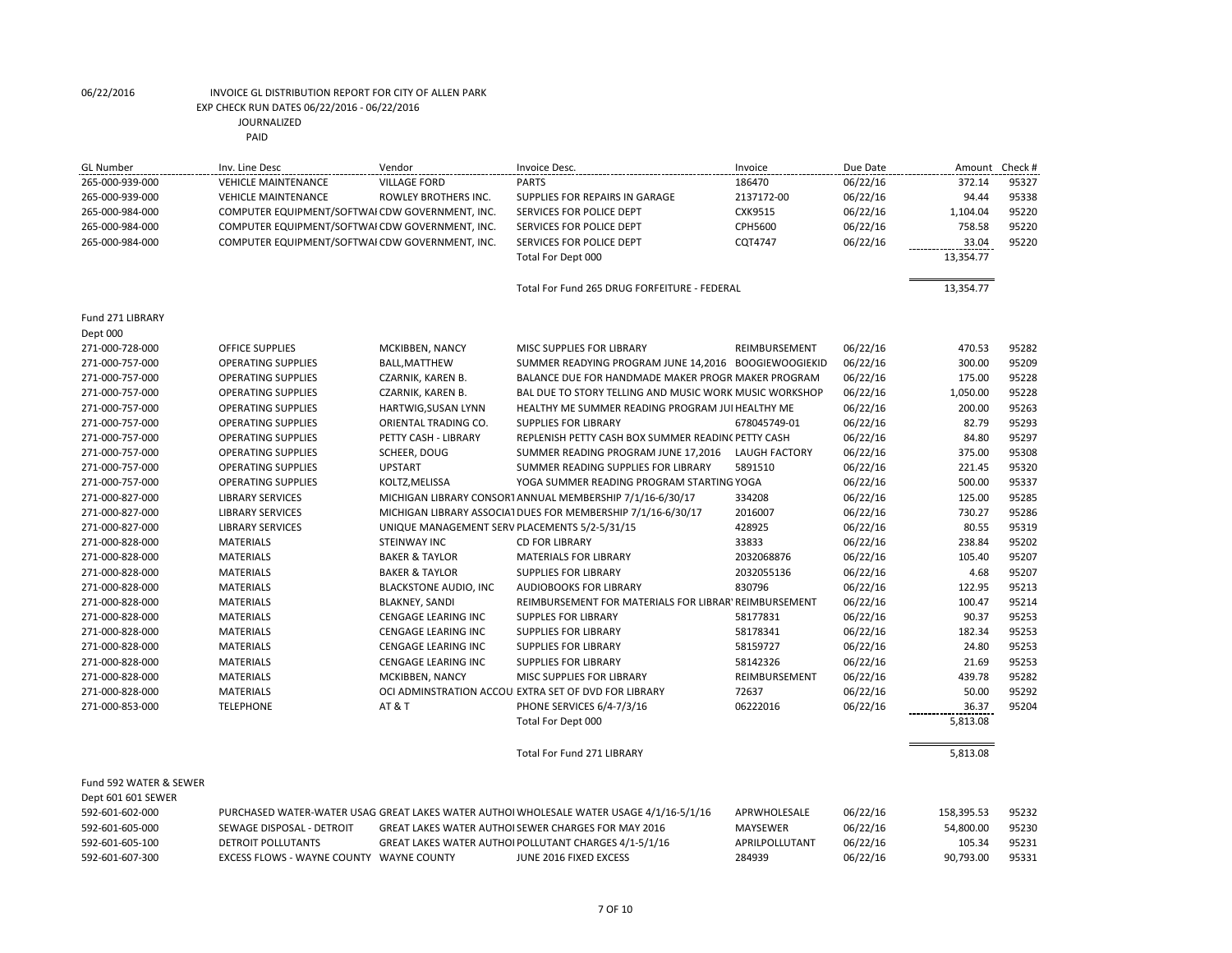| <b>GL Number</b>                      | Inv. Line Desc                                  | Vendor                                        | Invoice Desc.                                                                                                | Invoice                  | Due Date | Amount              | Check #        |
|---------------------------------------|-------------------------------------------------|-----------------------------------------------|--------------------------------------------------------------------------------------------------------------|--------------------------|----------|---------------------|----------------|
| 265-000-939-000                       | <b>VEHICLE MAINTENANCE</b>                      | <b>VILLAGE FORD</b>                           | <b>PARTS</b>                                                                                                 | 186470                   | 06/22/16 | 372.14              | 95327          |
| 265-000-939-000                       | <b>VEHICLE MAINTENANCE</b>                      | ROWLEY BROTHERS INC.                          | SUPPLIES FOR REPAIRS IN GARAGE                                                                               | 2137172-00               | 06/22/16 | 94.44               | 95338          |
| 265-000-984-000                       | COMPUTER EQUIPMENT/SOFTWAI CDW GOVERNMENT, INC. |                                               | SERVICES FOR POLICE DEPT                                                                                     | CXK9515                  | 06/22/16 | 1,104.04            | 95220          |
| 265-000-984-000                       | COMPUTER EQUIPMENT/SOFTWAI CDW GOVERNMENT, INC. |                                               | SERVICES FOR POLICE DEPT                                                                                     | CPH5600                  | 06/22/16 | 758.58              | 95220          |
| 265-000-984-000                       | COMPUTER EQUIPMENT/SOFTWAI CDW GOVERNMENT, INC. |                                               | SERVICES FOR POLICE DEPT                                                                                     | CQT4747                  | 06/22/16 | 33.04               | 95220          |
|                                       |                                                 |                                               | Total For Dept 000                                                                                           |                          |          | 13,354.77           |                |
|                                       |                                                 |                                               |                                                                                                              |                          |          |                     |                |
|                                       |                                                 |                                               | Total For Fund 265 DRUG FORFEITURE - FEDERAL                                                                 |                          |          | 13,354.77           |                |
|                                       |                                                 |                                               |                                                                                                              |                          |          |                     |                |
| Fund 271 LIBRARY                      |                                                 |                                               |                                                                                                              |                          |          |                     |                |
| Dept 000                              |                                                 |                                               |                                                                                                              |                          |          |                     |                |
| 271-000-728-000                       | <b>OFFICE SUPPLIES</b>                          | MCKIBBEN, NANCY                               | MISC SUPPLIES FOR LIBRARY                                                                                    | REIMBURSEMENT            | 06/22/16 | 470.53              | 95282          |
| 271-000-757-000                       | <b>OPERATING SUPPLIES</b>                       | <b>BALL, MATTHEW</b>                          | SUMMER READYING PROGRAM JUNE 14,2016 BOOGIEWOOGIEKID                                                         |                          | 06/22/16 | 300.00              | 95209          |
| 271-000-757-000                       | <b>OPERATING SUPPLIES</b>                       | CZARNIK, KAREN B.                             | BALANCE DUE FOR HANDMADE MAKER PROGR MAKER PROGRAM                                                           |                          | 06/22/16 | 175.00              | 95228          |
| 271-000-757-000                       | <b>OPERATING SUPPLIES</b>                       | CZARNIK, KAREN B.                             | BAL DUE TO STORY TELLING AND MUSIC WORK MUSIC WORKSHOP                                                       |                          | 06/22/16 | 1,050.00            | 95228          |
| 271-000-757-000                       | <b>OPERATING SUPPLIES</b>                       | HARTWIG, SUSAN LYNN                           | HEALTHY ME SUMMER READING PROGRAM JUI HEALTHY ME                                                             |                          | 06/22/16 | 200.00              | 95263          |
| 271-000-757-000                       | <b>OPERATING SUPPLIES</b>                       | ORIENTAL TRADING CO.                          | <b>SUPPLIES FOR LIBRARY</b>                                                                                  | 678045749-01             | 06/22/16 | 82.79               | 95293          |
| 271-000-757-000                       | <b>OPERATING SUPPLIES</b>                       | PETTY CASH - LIBRARY                          | REPLENISH PETTY CASH BOX SUMMER READINC PETTY CASH                                                           |                          | 06/22/16 | 84.80               | 95297          |
| 271-000-757-000                       | <b>OPERATING SUPPLIES</b>                       | SCHEER, DOUG                                  | SUMMER READING PROGRAM JUNE 17,2016                                                                          | <b>LAUGH FACTORY</b>     | 06/22/16 | 375.00              | 95308          |
| 271-000-757-000                       | <b>OPERATING SUPPLIES</b>                       | <b>UPSTART</b>                                | SUMMER READING SUPPLIES FOR LIBRARY                                                                          | 5891510                  | 06/22/16 | 221.45              | 95320          |
| 271-000-757-000                       | <b>OPERATING SUPPLIES</b>                       | KOLTZ, MELISSA                                | YOGA SUMMER READING PROGRAM STARTING YOGA                                                                    |                          | 06/22/16 | 500.00              | 95337          |
| 271-000-827-000                       | <b>LIBRARY SERVICES</b>                         |                                               | MICHIGAN LIBRARY CONSORT ANNUAL MEMBERSHIP 7/1/16-6/30/17                                                    | 334208                   | 06/22/16 | 125.00              | 95285          |
| 271-000-827-000                       | <b>LIBRARY SERVICES</b>                         |                                               | MICHIGAN LIBRARY ASSOCIATIDUES FOR MEMBERSHIP 7/1/16-6/30/17                                                 | 2016007                  | 06/22/16 | 730.27              | 95286          |
| 271-000-827-000                       | <b>LIBRARY SERVICES</b>                         | UNIQUE MANAGEMENT SERV PLACEMENTS 5/2-5/31/15 |                                                                                                              | 428925                   | 06/22/16 | 80.55               | 95319          |
| 271-000-828-000                       | <b>MATERIALS</b>                                | STEINWAY INC                                  | <b>CD FOR LIBRARY</b>                                                                                        | 33833                    | 06/22/16 | 238.84              | 95202          |
| 271-000-828-000                       | <b>MATERIALS</b>                                | <b>BAKER &amp; TAYLOR</b>                     | <b>MATERIALS FOR LIBRARY</b>                                                                                 | 2032068876               | 06/22/16 | 105.40              | 95207          |
| 271-000-828-000                       | <b>MATERIALS</b>                                | <b>BAKER &amp; TAYLOR</b>                     | <b>SUPPLIES FOR LIBRARY</b>                                                                                  | 2032055136               | 06/22/16 | 4.68                | 95207          |
|                                       | <b>MATERIALS</b>                                | <b>BLACKSTONE AUDIO, INC</b>                  | <b>AUDIOBOOKS FOR LIBRARY</b>                                                                                | 830796                   |          | 122.95              | 95213          |
| 271-000-828-000                       | <b>MATERIALS</b>                                |                                               |                                                                                                              |                          | 06/22/16 | 100.47              | 95214          |
| 271-000-828-000                       |                                                 | <b>BLAKNEY, SANDI</b>                         | REIMBURSEMENT FOR MATERIALS FOR LIBRAR' REIMBURSEMENT                                                        | 58177831                 | 06/22/16 | 90.37               | 95253          |
| 271-000-828-000<br>271-000-828-000    | <b>MATERIALS</b><br><b>MATERIALS</b>            | CENGAGE LEARING INC<br>CENGAGE LEARING INC    | <b>SUPPLES FOR LIBRARY</b><br><b>SUPPLIES FOR LIBRARY</b>                                                    | 58178341                 | 06/22/16 | 182.34              | 95253          |
|                                       | <b>MATERIALS</b>                                | CENGAGE LEARING INC                           | <b>SUPPLIES FOR LIBRARY</b>                                                                                  | 58159727                 | 06/22/16 | 24.80               | 95253          |
| 271-000-828-000                       |                                                 |                                               |                                                                                                              | 58142326                 | 06/22/16 |                     | 95253          |
| 271-000-828-000                       | <b>MATERIALS</b>                                | CENGAGE LEARING INC                           | <b>SUPPLIES FOR LIBRARY</b>                                                                                  |                          | 06/22/16 | 21.69<br>439.78     | 95282          |
| 271-000-828-000                       | <b>MATERIALS</b>                                | MCKIBBEN, NANCY                               | MISC SUPPLIES FOR LIBRARY                                                                                    | REIMBURSEMENT            | 06/22/16 | 50.00               | 95292          |
| 271-000-828-000                       | <b>MATERIALS</b>                                |                                               | OCI ADMINSTRATION ACCOU EXTRA SET OF DVD FOR LIBRARY                                                         | 72637                    | 06/22/16 |                     |                |
| 271-000-853-000                       | <b>TELEPHONE</b>                                | AT & T                                        | PHONE SERVICES 6/4-7/3/16                                                                                    | 06222016                 | 06/22/16 | 36.37               | 95204          |
|                                       |                                                 |                                               | Total For Dept 000                                                                                           |                          |          | 5,813.08            |                |
|                                       |                                                 |                                               |                                                                                                              |                          |          |                     |                |
|                                       |                                                 |                                               | Total For Fund 271 LIBRARY                                                                                   |                          |          | 5,813.08            |                |
| Fund 592 WATER & SEWER                |                                                 |                                               |                                                                                                              |                          |          |                     |                |
|                                       |                                                 |                                               |                                                                                                              |                          |          |                     |                |
| Dept 601 601 SEWER<br>592-601-602-000 |                                                 |                                               |                                                                                                              |                          |          |                     |                |
| 592-601-605-000                       |                                                 |                                               | PURCHASED WATER-WATER USAG GREAT LAKES WATER AUTHOI WHOLESALE WATER USAGE 4/1/16-5/1/16                      | APRWHOLESALE             | 06/22/16 | 158,395.53          | 95232          |
|                                       | SEWAGE DISPOSAL - DETROIT                       |                                               | GREAT LAKES WATER AUTHOI SEWER CHARGES FOR MAY 2016<br>GREAT LAKES WATER AUTHOI POLLUTANT CHARGES 4/1-5/1/16 | <b>MAYSEWER</b>          | 06/22/16 | 54,800.00           | 95230<br>95231 |
| 592-601-605-100                       | DETROIT POLLUTANTS                              |                                               |                                                                                                              | APRILPOLLUTANT<br>284939 | 06/22/16 | 105.34<br>90,793.00 |                |
| 592-601-607-300                       | EXCESS FLOWS - WAYNE COUNTY WAYNE COUNTY        |                                               | JUNE 2016 FIXED EXCESS                                                                                       |                          | 06/22/16 |                     | 95331          |

592-601-607-300 EXCESS FLOWS - WAYNE COUNTY WAYNE COUNTY JUNE 2016 FIXED EXCESS 284939 06/22/16 90,793.00 95331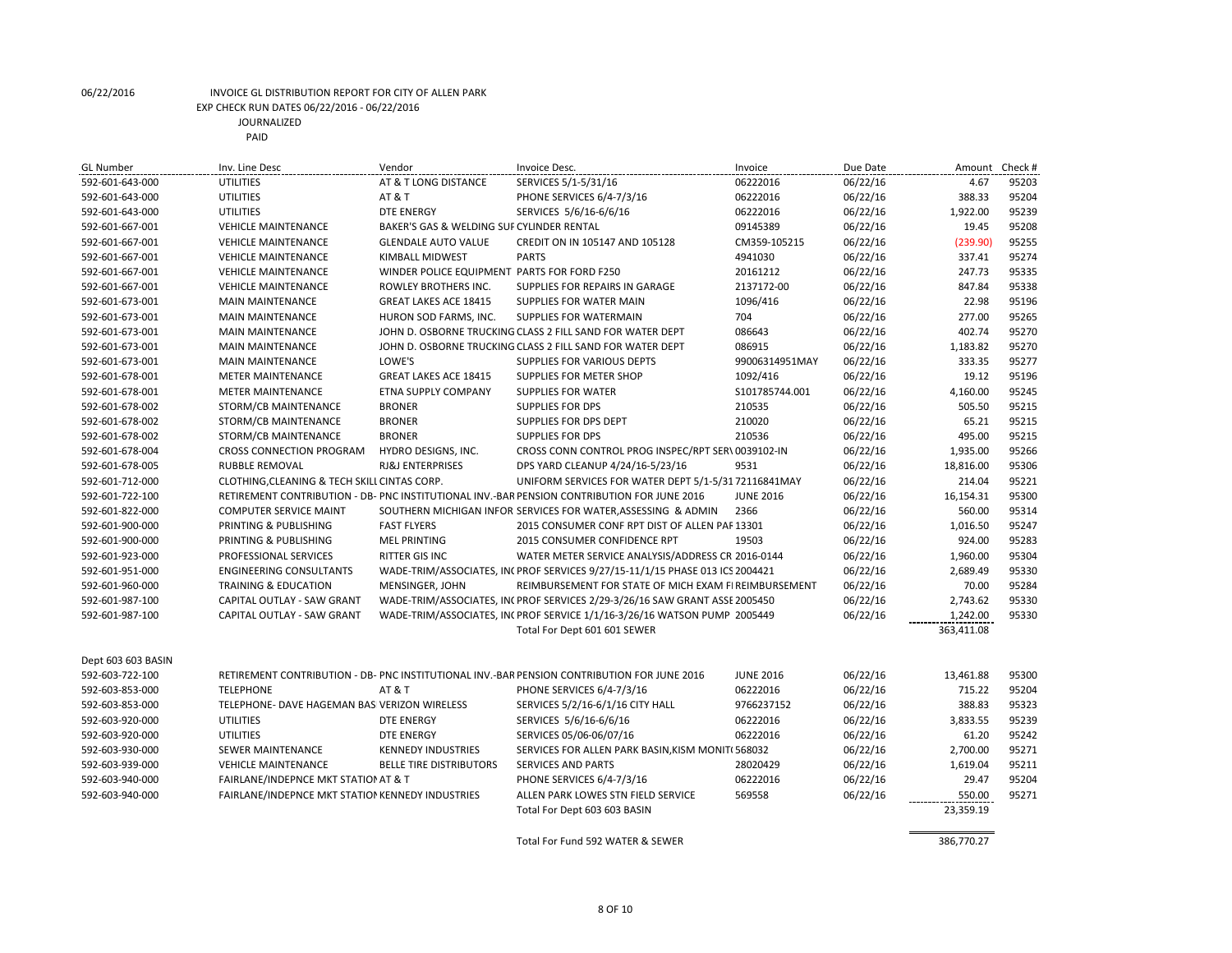| <b>GL Number</b>   | Inv. Line Desc                                   | Vendor                                      | Invoice Desc.                                                                               | Invoice          | Due Date | Amount     | Check # |
|--------------------|--------------------------------------------------|---------------------------------------------|---------------------------------------------------------------------------------------------|------------------|----------|------------|---------|
| 592-601-643-000    | <b>UTILITIES</b>                                 | AT & T LONG DISTANCE                        | SERVICES 5/1-5/31/16                                                                        | 06222016         | 06/22/16 | 4.67       | 95203   |
| 592-601-643-000    | <b>UTILITIES</b>                                 | AT & T                                      | PHONE SERVICES 6/4-7/3/16                                                                   | 06222016         | 06/22/16 | 388.33     | 95204   |
| 592-601-643-000    | <b>UTILITIES</b>                                 | <b>DTE ENERGY</b>                           | SERVICES 5/6/16-6/6/16                                                                      | 06222016         | 06/22/16 | 1,922.00   | 95239   |
| 592-601-667-001    | <b>VEHICLE MAINTENANCE</b>                       | BAKER'S GAS & WELDING SUF CYLINDER RENTAL   |                                                                                             | 09145389         | 06/22/16 | 19.45      | 95208   |
| 592-601-667-001    | <b>VEHICLE MAINTENANCE</b>                       | <b>GLENDALE AUTO VALUE</b>                  | CREDIT ON IN 105147 AND 105128                                                              | CM359-105215     | 06/22/16 | (239.90)   | 95255   |
| 592-601-667-001    | <b>VEHICLE MAINTENANCE</b>                       | <b>KIMBALL MIDWEST</b>                      | <b>PARTS</b>                                                                                | 4941030          | 06/22/16 | 337.41     | 95274   |
| 592-601-667-001    | <b>VEHICLE MAINTENANCE</b>                       | WINDER POLICE EQUIPMENT PARTS FOR FORD F250 |                                                                                             | 20161212         | 06/22/16 | 247.73     | 95335   |
| 592-601-667-001    | <b>VEHICLE MAINTENANCE</b>                       | ROWLEY BROTHERS INC.                        | SUPPLIES FOR REPAIRS IN GARAGE                                                              | 2137172-00       | 06/22/16 | 847.84     | 95338   |
| 592-601-673-001    | <b>MAIN MAINTENANCE</b>                          | <b>GREAT LAKES ACE 18415</b>                | SUPPLIES FOR WATER MAIN                                                                     | 1096/416         | 06/22/16 | 22.98      | 95196   |
| 592-601-673-001    | <b>MAIN MAINTENANCE</b>                          | HURON SOD FARMS, INC.                       | SUPPLIES FOR WATERMAIN                                                                      | 704              | 06/22/16 | 277.00     | 95265   |
| 592-601-673-001    | <b>MAIN MAINTENANCE</b>                          |                                             | JOHN D. OSBORNE TRUCKING CLASS 2 FILL SAND FOR WATER DEPT                                   | 086643           | 06/22/16 | 402.74     | 95270   |
| 592-601-673-001    | <b>MAIN MAINTENANCE</b>                          |                                             | JOHN D. OSBORNE TRUCKING CLASS 2 FILL SAND FOR WATER DEPT                                   | 086915           | 06/22/16 | 1,183.82   | 95270   |
| 592-601-673-001    | <b>MAIN MAINTENANCE</b>                          | LOWE'S                                      | SUPPLIES FOR VARIOUS DEPTS                                                                  | 99006314951MAY   | 06/22/16 | 333.35     | 95277   |
| 592-601-678-001    | <b>METER MAINTENANCE</b>                         | GREAT LAKES ACE 18415                       | SUPPLIES FOR METER SHOP                                                                     | 1092/416         | 06/22/16 | 19.12      | 95196   |
| 592-601-678-001    | <b>METER MAINTENANCE</b>                         | ETNA SUPPLY COMPANY                         | <b>SUPPLIES FOR WATER</b>                                                                   | S101785744.001   | 06/22/16 | 4,160.00   | 95245   |
| 592-601-678-002    | STORM/CB MAINTENANCE                             | <b>BRONER</b>                               | <b>SUPPLIES FOR DPS</b>                                                                     | 210535           | 06/22/16 | 505.50     | 95215   |
| 592-601-678-002    | STORM/CB MAINTENANCE                             | <b>BRONER</b>                               | SUPPLIES FOR DPS DEPT                                                                       | 210020           | 06/22/16 | 65.21      | 95215   |
| 592-601-678-002    | STORM/CB MAINTENANCE                             | <b>BRONER</b>                               | <b>SUPPLIES FOR DPS</b>                                                                     | 210536           | 06/22/16 | 495.00     | 95215   |
| 592-601-678-004    | <b>CROSS CONNECTION PROGRAM</b>                  | HYDRO DESIGNS, INC.                         | CROSS CONN CONTROL PROG INSPEC/RPT SER\ 0039102-IN                                          |                  | 06/22/16 | 1,935.00   | 95266   |
| 592-601-678-005    | <b>RUBBLE REMOVAL</b>                            | <b>RJ&amp;J ENTERPRISES</b>                 | DPS YARD CLEANUP 4/24/16-5/23/16                                                            | 9531             | 06/22/16 | 18,816.00  | 95306   |
| 592-601-712-000    | CLOTHING, CLEANING & TECH SKILL CINTAS CORP.     |                                             | UNIFORM SERVICES FOR WATER DEPT 5/1-5/31 72116841MAY                                        |                  | 06/22/16 | 214.04     | 95221   |
| 592-601-722-100    |                                                  |                                             | RETIREMENT CONTRIBUTION - DB- PNC INSTITUTIONAL INV.-BAR PENSION CONTRIBUTION FOR JUNE 2016 | <b>JUNE 2016</b> | 06/22/16 | 16,154.31  | 95300   |
| 592-601-822-000    | <b>COMPUTER SERVICE MAINT</b>                    |                                             | SOUTHERN MICHIGAN INFOR SERVICES FOR WATER, ASSESSING & ADMIN                               | 2366             | 06/22/16 | 560.00     | 95314   |
| 592-601-900-000    | PRINTING & PUBLISHING                            | <b>FAST FLYERS</b>                          | 2015 CONSUMER CONF RPT DIST OF ALLEN PAF 13301                                              |                  | 06/22/16 | 1,016.50   | 95247   |
| 592-601-900-000    | PRINTING & PUBLISHING                            | <b>MEL PRINTING</b>                         | 2015 CONSUMER CONFIDENCE RPT                                                                | 19503            | 06/22/16 | 924.00     | 95283   |
| 592-601-923-000    | PROFESSIONAL SERVICES                            | RITTER GIS INC                              | WATER METER SERVICE ANALYSIS/ADDRESS CR 2016-0144                                           |                  | 06/22/16 | 1,960.00   | 95304   |
| 592-601-951-000    | <b>ENGINEERING CONSULTANTS</b>                   |                                             | WADE-TRIM/ASSOCIATES, IN( PROF SERVICES 9/27/15-11/1/15 PHASE 013 ICS 2004421               |                  | 06/22/16 | 2.689.49   | 95330   |
| 592-601-960-000    | <b>TRAINING &amp; EDUCATION</b>                  | MENSINGER, JOHN                             | REIMBURSEMENT FOR STATE OF MICH EXAM FIREIMBURSEMENT                                        |                  | 06/22/16 | 70.00      | 95284   |
| 592-601-987-100    | CAPITAL OUTLAY - SAW GRANT                       |                                             | WADE-TRIM/ASSOCIATES, INCPROF SERVICES 2/29-3/26/16 SAW GRANT ASSE 2005450                  |                  | 06/22/16 | 2,743.62   | 95330   |
| 592-601-987-100    | CAPITAL OUTLAY - SAW GRANT                       |                                             | WADE-TRIM/ASSOCIATES, INCPROF SERVICE 1/1/16-3/26/16 WATSON PUMP 2005449                    |                  | 06/22/16 | 1,242.00   | 95330   |
|                    |                                                  |                                             | Total For Dept 601 601 SEWER                                                                |                  |          | 363,411.08 |         |
|                    |                                                  |                                             |                                                                                             |                  |          |            |         |
| Dept 603 603 BASIN |                                                  |                                             |                                                                                             |                  |          |            |         |
| 592-603-722-100    |                                                  |                                             | RETIREMENT CONTRIBUTION - DB- PNC INSTITUTIONAL INV.-BAR PENSION CONTRIBUTION FOR JUNE 2016 | <b>JUNE 2016</b> | 06/22/16 | 13,461.88  | 95300   |
| 592-603-853-000    | <b>TELEPHONE</b>                                 | AT&T                                        | PHONE SERVICES 6/4-7/3/16                                                                   | 06222016         | 06/22/16 | 715.22     | 95204   |
| 592-603-853-000    | TELEPHONE- DAVE HAGEMAN BASI VERIZON WIRELESS    |                                             | SERVICES 5/2/16-6/1/16 CITY HALL                                                            | 9766237152       | 06/22/16 | 388.83     | 95323   |
| 592-603-920-000    | <b>UTILITIES</b>                                 | <b>DTE ENERGY</b>                           | SERVICES 5/6/16-6/6/16                                                                      | 06222016         | 06/22/16 | 3,833.55   | 95239   |
| 592-603-920-000    | <b>UTILITIES</b>                                 | <b>DTE ENERGY</b>                           | SERVICES 05/06-06/07/16                                                                     | 06222016         | 06/22/16 | 61.20      | 95242   |
| 592-603-930-000    | <b>SEWER MAINTENANCE</b>                         | <b>KENNEDY INDUSTRIES</b>                   | SERVICES FOR ALLEN PARK BASIN, KISM MONIT(568032                                            |                  | 06/22/16 | 2,700.00   | 95271   |
| 592-603-939-000    | <b>VEHICLE MAINTENANCE</b>                       | <b>BELLE TIRE DISTRIBUTORS</b>              | <b>SERVICES AND PARTS</b>                                                                   | 28020429         | 06/22/16 | 1,619.04   | 95211   |
| 592-603-940-000    | FAIRLANE/INDEPNCE MKT STATION AT & T             |                                             | PHONE SERVICES 6/4-7/3/16                                                                   | 06222016         | 06/22/16 | 29.47      | 95204   |
| 592-603-940-000    | FAIRLANE/INDEPNCE MKT STATION KENNEDY INDUSTRIES |                                             | ALLEN PARK LOWES STN FIELD SERVICE                                                          | 569558           | 06/22/16 | 550.00     | 95271   |
|                    |                                                  |                                             | Total For Dept 603 603 BASIN                                                                |                  |          | 23,359.19  |         |
|                    |                                                  |                                             |                                                                                             |                  |          |            |         |
|                    |                                                  |                                             | Total For Fund 592 WATER & SEWER                                                            |                  |          | 386,770.27 |         |
|                    |                                                  |                                             |                                                                                             |                  |          |            |         |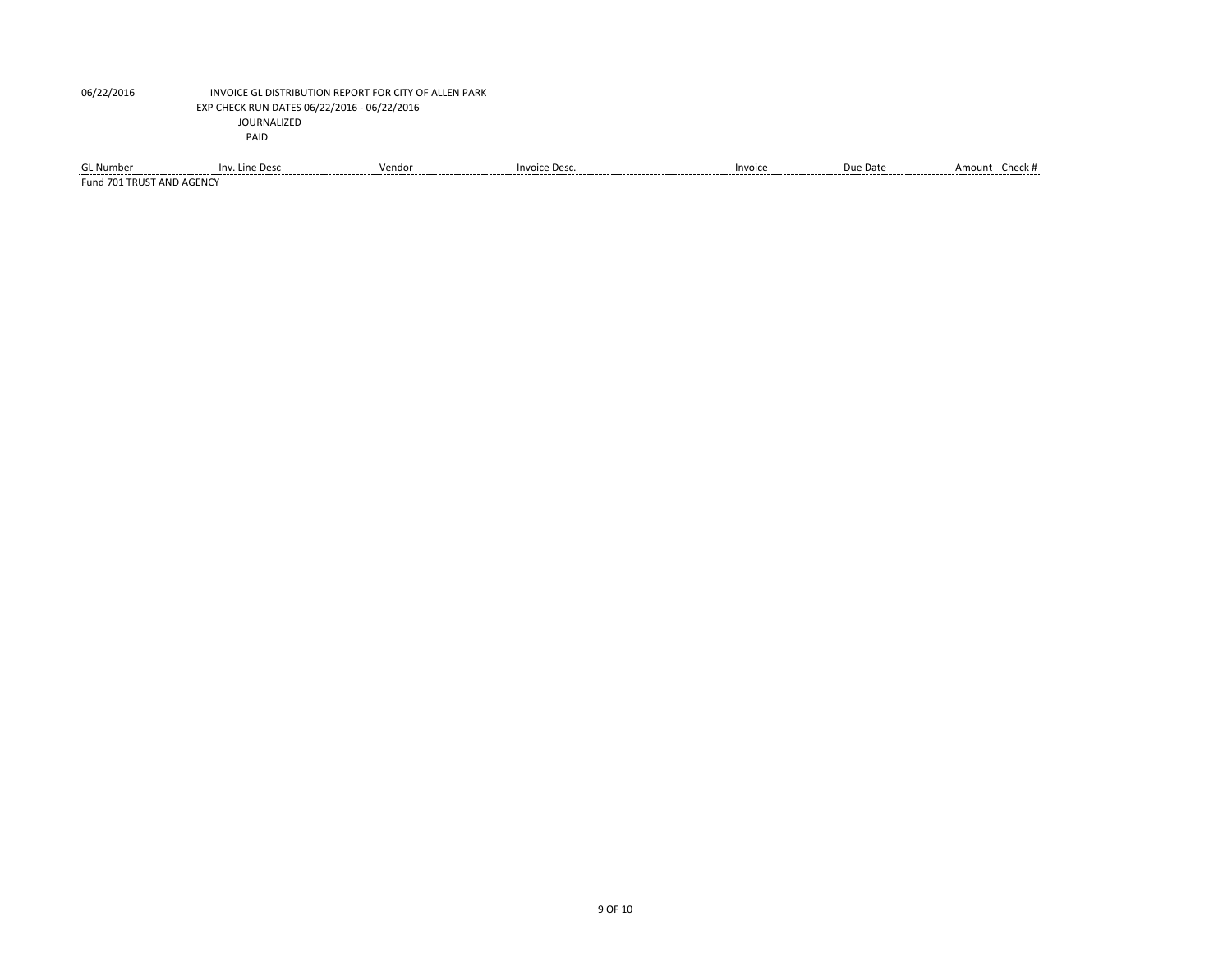| <b>GL Number</b><br>-------              | Inv. Line Desc | Vendor | Invoice Desc. | Invoice | Due Date<br>______ | Amount<br>Check #<br>________________ |
|------------------------------------------|----------------|--------|---------------|---------|--------------------|---------------------------------------|
| <b>Fund 701</b><br>T AND AGENC.<br>TRUST |                |        |               |         |                    |                                       |

9 OF 10